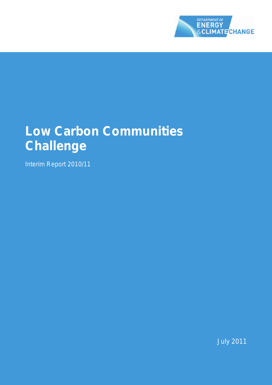

# **Low Carbon Communities Challenge**

Interim Report 2010/11

July 2011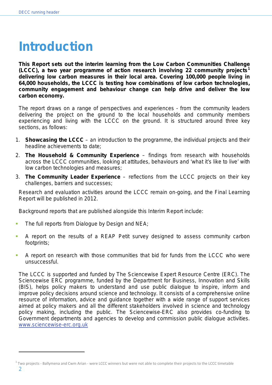# **Introduction**

**This Report sets out the interim learning from the Low Carbon Communities Challenge (LCCC), a two year programme of action research involving 22 community projects[1](#page-1-0) delivering low carbon measures in their local area. Covering 100,000 people living in 64,000 households, the LCCC is testing how combinations of low carbon technologies, community engagement and behaviour change can help drive and deliver the low carbon economy.**

The report draws on a range of perspectives and experiences - from the community leaders delivering the project on the ground to the local households and community members experiencing and living with the LCCC on the ground. It is structured around three key sections, as follows:

- 1. **Showcasing the LCCC** an introduction to the programme, the individual projects and their headline achievements to date;
- 2. **The Household & Community Experience** findings from research with households across the LCCC communities, looking at attitudes, behaviours and 'what it's like to live' with low carbon technologies and measures;
- 3. **The Community Leader Experience** reflections from the LCCC projects on their key challenges, barriers and successes;

Research and evaluation activities around the LCCC remain on-going, and the Final Learning Report will be published in 2012.

Background reports that are published alongside this Interim Report include:

- The full reports from Dialogue by Design and NEA;
- A report on the results of a REAP Petit survey designed to assess community carbon footprints;
- A report on research with those communities that bid for funds from the LCCC who were unsuccessful.

The LCCC is supported and funded by The Sciencewise Expert Resource Centre (ERC). The Sciencewise ERC programme, funded by the Department for Business, Innovation and Skills (BIS), helps policy makers to understand and use public dialogue to inspire, inform and improve policy decisions around science and technology. It consists of a comprehensive online resource of information, advice and guidance together with a wide range of support services aimed at policy makers and all the different stakeholders involved in science and technology policy making, including the public. The Sciencewise-ERC also provides co-funding to Government departments and agencies to develop and commission public dialogue activities. [www.sciencewise-erc.org.uk](http://www.sciencewise-erc.org.uk/)

 $\overline{a}$ 

<span id="page-1-0"></span> $1$  Two projects - Ballymena and Cwm Arian - were LCCC winners but were not able to complete their projects to the LCCC timetable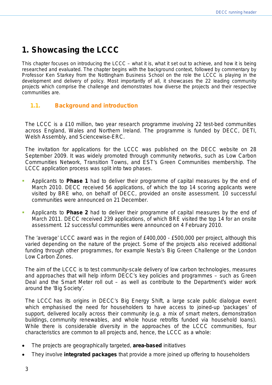# **1. Showcasing the LCCC**

This chapter focuses on introducing the LCCC – what it is, what it set out to achieve, and how it is being researched and evaluated. The chapter begins with the background context, followed by commentary by Professor Ken Starkey from the Nottingham Business School on the role the LCCC is playing in the development and delivery of policy. Most importantly of all, it showcases the 22 leading community projects which comprise the challenge and demonstrates how diverse the projects and their respective communities are.

# **1.1. Background and introduction**

The LCCC is a £10 million, two year research programme involving 22 test-bed communities across England, Wales and Northern Ireland. The programme is funded by DECC, DETI, Welsh Assembly, and Sciencewise-ERC.

The invitation for applications for the LCCC was published on the DECC website on 28 September 2009. It was widely promoted through community networks, such as Low Carbon Communities Network, Transition Towns, and EST's Green Communities membership. The LCCC application process was split into two phases.

- Applicants to **Phase 1** had to deliver their programme of capital measures by the end of March 2010. DECC received 56 applications, of which the top 14 scoring applicants were visited by BRE who, on behalf of DECC, provided an onsite assessment. 10 successful communities were announced on 21 December.
- Applicants to **Phase 2** had to deliver their programme of capital measures by the end of March 2011. DECC received 239 applications, of which BRE visited the top 14 for an onsite assessment. 12 successful communities were announced on 4 February 2010.

The 'average' LCCC award was in the region of £400,000 - £500,000 per project, although this varied depending on the nature of the project. Some of the projects also received additional funding through other programmes, for example Nesta's *Big Green Challenge* or the London *Low Carbon Zones*.

The aim of the LCCC is to test community-scale delivery of low carbon technologies, measures and approaches that will help inform DECC's key policies and programmes – such as Green Deal and the Smart Meter roll out – as well as contribute to the Department's wider work around the 'Big Society'.

The LCCC has its origins in DECC's *Big Energy Shift*, a large scale public dialogue event which emphasised the need for householders to have access to joined-up 'packages' of support, delivered locally across their community (e.g. a mix of smart meters, demonstration buildings, community renewables, and whole house retrofits funded via household loans). While there is considerable diversity in the approaches of the LCCC communities, four characteristics are common to all projects and, hence, the LCCC as a whole:

- The projects are geographically targeted, **area-based** initiatives
- They involve **integrated packages** that provide a more joined up offering to householders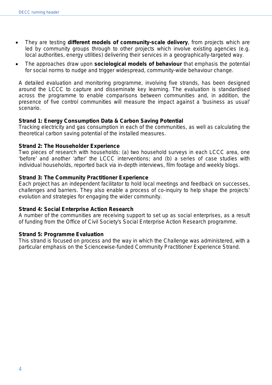- They are testing **different models of community-scale delivery**, from projects which are led by community groups through to other projects which involve existing agencies (e.g. local authorities, energy utilities) delivering their services in a geographically-targeted way.
- The approaches draw upon **sociological models of behaviour** that emphasis the potential for social norms to nudge and trigger widespread, community-wide behaviour change.

A detailed evaluation and monitoring programme, involving five strands, has been designed around the LCCC to capture and disseminate key learning. The evaluation is standardised across the programme to enable comparisons between communities and, in addition, the presence of five control communities will measure the impact against a 'business as usual' scenario.

#### **Strand 1: Energy Consumption Data & Carbon Saving Potential**

Tracking electricity and gas consumption in each of the communities, as well as calculating the theoretical carbon saving potential of the installed measures.

#### **Strand 2: The Householder Experience**

Two pieces of research with households: (a) two household surveys in each LCCC area, one 'before' and another 'after' the LCCC interventions; and (b) a series of case studies with individual households, reported back via in-depth interviews, film footage and weekly blogs.

#### **Strand 3: The Community Practitioner Experience**

Each project has an independent facilitator to hold local meetings and feedback on successes, challenges and barriers. They also enable a process of co-inquiry to help shape the projects' evolution and strategies for engaging the wider community.

#### **Strand 4: Social Enterprise Action Research**

A number of the communities are receiving support to set up as social enterprises, as a result of funding from the Office of Civil Society's Social Enterprise Action Research programme.

#### **Strand 5: Programme Evaluation**

This strand is focused on process and the way in which the Challenge was administered, with a particular emphasis on the Sciencewise-funded Community Practitioner Experience Strand.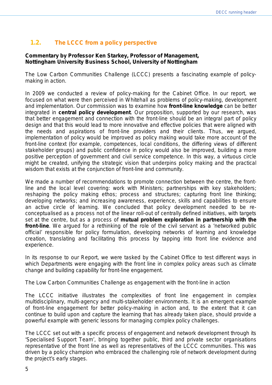# **1.2. The LCCC from a policy perspective**

#### **Commentary by Professor Ken Starkey, Professor of Management, Nottingham University Business School, University of Nottingham**

The Low Carbon Communities Challenge (LCCC) presents a fascinating example of policymaking in action.

In 2009 we conducted a review of policy-making for the Cabinet Office. In our report, we focused on what were then perceived in Whitehall as problems of policy-making, development and implementation. Our commission was to examine how **front-line knowledge** can be better integrated in **central policy development**. Our proposition, supported by our research, was that better engagement and connection with the front-line should be an integral part of policy design and that this would lead to more innovative and effective policies that were aligned with the needs and aspirations of front-line providers and their clients. Thus, we argued, implementation of policy would be improved as policy making would take more account of the front-line context (for example, competences, local conditions, the differing views of different stakeholder groups) and public confidence in policy would also be improved, building a more positive perception of government and civil service competence. In this way, a virtuous circle might be created, unifying the strategic vision that underpins policy making and the practical wisdom that exists at the conjunction of front-line and community.

We made a number of recommendations to promote connection between the centre, the frontline and the local level covering: work with Ministers; partnerships with key stakeholders; reshaping the policy making ethos; process and structures; capturing front line thinking; developing networks; and increasing awareness, experience, skills and capabilities to ensure an active circle of learning. We concluded that policy development needed to be reconceptualised as a process not of the linear roll-out of centrally defined initiatives, with targets set at the centre, but as a process of **mutual problem exploration in partnership with the front-line**. We argued for a rethinking of the role of the civil servant as a 'networked public official' responsible for policy formulation, developing networks of learning and knowledge creation, translating and facilitating this process by tapping into front line evidence and experience.

In its response to our Report, we were tasked by the Cabinet Office to test different ways in which Departments were engaging with the front line in complex policy areas such as climate change and building capability for front-line engagement.

# *The Low Carbon Communities Challenge as engagement with the front-line in action*

The LCCC initiative illustrates the complexities of front line engagement in complex multidisciplinary, multi-agency and multi-stakeholder environments. It is an emergent example of front-line engagement for better policy-making in action and, to the extent that it can continue to build upon and capture the learning that has already taken place, should provide a powerful example with generic lessons for managing complex policy challenges.

The LCCC set out with a specific process of engagement and network development through its 'Specialised Support Team', bringing together public, third and private sector organisations representative of the front line as well as representatives of the LCCC communities. This was driven by a policy champion who embraced the challenging role of network development during the project's early stages.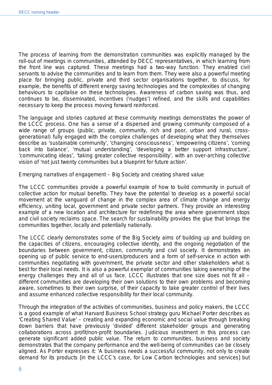The process of learning from the demonstration communities was explicitly managed by the roll-out of meetings in communities, attended by DECC representatives, in which learning from the front line was captured. These meetings had a two-way function. They enabled civil servants to advise the communities and to learn from them. They were also a powerful meeting place for bringing public, private and third sector organisations together, to discuss, for example, the benefits of different energy saving technologies and the complexities of changing behaviours to capitalise on these technologies. Awareness of carbon saving was thus, and continues to be, disseminated, incentives ('nudges') refined, and the skills and capabilities necessary to keep the process moving forward reinforced.

The language and stories captured at these community meetings demonstrates the power of the LCCC process. One has a sense of a dispersed and growing community composed of a wide range of groups (public, private, community, rich and poor, urban and rural, crossgenerational) fully engaged with the complex challenges of developing what they themselves describe as 'sustainable community', 'changing consciousness', 'empowering citizens', 'coming back into balance', 'mutual understanding', 'developing a better support infrastructure', 'communicating ideas', 'taking greater collective responsibility', with an over-arching collective vision of 'not just twenty communities but a blueprint for future action'.

# *Emerging narratives of engagement – Big Society and creating shared value*

The LCCC communities provide a powerful example of how to build community in pursuit of collective action for mutual benefits. They have the potential to develop as a powerful social movement at the vanguard of change in the complex area of climate change and energy efficiency, uniting local, government and private sector partners. They provide an interesting example of a new location and architecture for redefining the area where government stops and civil society reclaims space. The search for sustainability provides the glue that brings the communities together, locally and potentially nationally.

The LCCC clearly demonstrates some of the Big Society aims of building up and building on the capacities of citizens, encouraging collective identity, and the ongoing negotiation of the boundaries between government, citizen, community and civil society. It demonstrates an opening up of public service to end-users/producers and a form of self-service in action with communities negotiating with government, the private sector and other stakeholders what is best for their local needs. It is also a powerful exemplar of communities taking ownership of the energy challenges they and all of us face. LCCC illustrates that one size does not fit all different communities are developing their own solutions to their own problems and becoming aware, sometimes to their own surprise, of their capacity to take greater control of their lives and assume enhanced collective responsibility for their local community.

Through the integration of the activities of communities, business and policy makers, the LCCC is a good example of what Harvard Business School strategy guru Michael Porter describes as 'Creating Shared Value' – creating and expanding economic and social value through breaking down barriers that have previously 'divided' different stakeholder groups and generating collaborations across profit/non-profit boundaries. Judicious investment in this process can generate significant added public value. The return to communities, business and society demonstrates that the company performance and the well-being of communities can be closely aligned. As Porter expresses it: *'A business needs a successful community, not only to create demand for its products [in the LCCC's case, for Low Carbon technologies and services] but*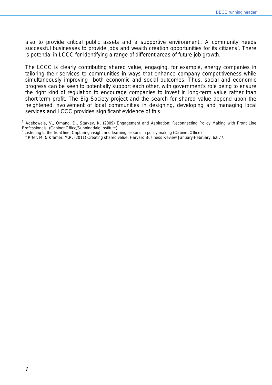*also to provide critical public assets and a supportive environment*'. A community needs successful businesses to provide jobs and wealth creation opportunities for its citizens'. There is potential in LCCC for identifying a range of different areas of future job growth.

The LCCC is clearly contributing shared value, engaging, for example, energy companies in tailoring their services to communities in ways that enhance company competitiveness while simultaneously improving both economic and social outcomes. Thus, social and economic progress can be seen to potentially support each other, with government's role being to ensure the right kind of regulation to encourage companies to invest in long-term value rather than short-term profit. The Big Society project and the search for shared value depend upon the heightened involvement of local communities in designing, developing and managing local services and LCCC provides significant evidence of this.

<sup>&</sup>lt;sup>1</sup> Adebowale, V., Omand, D., Starkey, K. (2009) *Engagement and Aspiration: Reconnecting Policy Making with Front Line*<br>Professionals. (Cabinet Office/Sunningdale Institute)

Listening to the front line: Capturing insight and learning lessons in policy making (Cabinet Office)<br><sup>1</sup> Prter, M. & Kramer, M.R. (2011) Creating shared value. Harvard Business Review January-February, 62-77.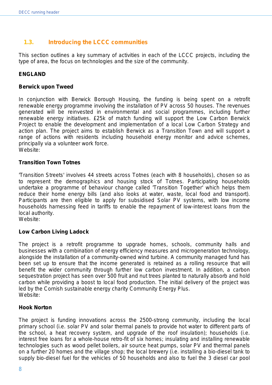# **1.3. Introducing the LCCC communities**

This section outlines a key summary of activities in each of the LCCC projects, including the type of area, the focus on technologies and the size of the community.

# **ENGLAND**

#### **Berwick upon Tweed**

In conjunction with Berwick Borough Housing, the funding is being spent on a retrofit renewable energy programme involving the installation of PV across 50 houses. The revenues generated will be reinvested in environmental and social programmes, including further renewable energy initiatives. £25k of match funding will support the Low Carbon Berwick Project to enable the development and implementation of a local Low Carbon Strategy and action plan. The project aims to establish Berwick as a Transition Town and will support a range of actions with residents including household energy monitor and advice schemes, principally via a volunteer work force. Website:

#### **Transition Town Totnes**

'Transition Streets' involves 44 streets across Totnes (each with 8 households), chosen so as to represent the demographics and housing stock of Totnes. Participating households undertake a programme of behaviour change called 'Transition Together' which helps them reduce their home energy bills (and also looks at water, waste, local food and transport). Participants are then eligible to apply for subsidised Solar PV systems, with low income households harnessing feed in tariffs to enable the repayment of low-interest loans from the local authority.

Website:

# **Low Carbon Living Ladock**

The project is a retrofit programme to upgrade homes, schools, community halls and businesses with a combination of energy efficiency measures and microgeneration technology, alongside the installation of a community-owned wind turbine. A community managed fund has been set up to ensure that the income generated is retained as a rolling resource that will benefit the wider community through further low carbon investment. In addition, a carbon sequestration project has seen over 500 fruit and nut trees planted to naturally absorb and hold carbon while providing a boost to local food production. The initial delivery of the project was led by the Cornish sustainable energy charity Community Energy Plus. Website:

# **Hook Norton**

The project is funding innovations across the 2500-strong community, including the local primary school (i.e. solar PV and solar thermal panels to provide hot water to different parts of the school, a heat recovery system, and upgrade of the roof insulation); households (i.e. interest free loans for a whole-house retro-fit of six homes; insulating and installing renewable technologies such as wood pellet boilers, air source heat pumps, solar PV and thermal panels on a further 20 homes and the village shop; the local brewery (i.e. installing a bio-diesel tank to supply bio-diesel fuel for the vehicles of 50 households and also to fuel the 3 diesel car pool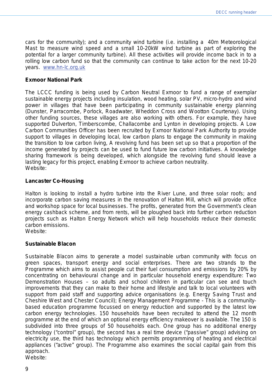cars for the community); and a community wind turbine (i.e. installing a 40m Meteorological Mast to measure wind speed and a small 10-20kW wind turbine as part of exploring the potential for a larger community turbine). All these activities will provide income back in to a rolling low carbon fund so that the community can continue to take action for the next 10-20 years. [www.hn-lc.org.uk](http://www.hn-lc.org.uk/)

#### **Exmoor National Park**

The LCCC funding is being used by Carbon Neutral Exmoor to fund a range of exemplar sustainable energy projects including insulation, wood heating, solar PV, micro-hydro and wind power in villages that have been participating in community sustainable energy planning (Dunster, Parracombe, Porlock, Roadwater, Wheddon Cross and Wootton Courtenay). Using other funding sources, these villages are also working with others. For example, they have supported Dulverton, Timberscombe, Challacombe and Lynton in developing projects. A Low Carbon Communities Officer has been recruited by Exmoor National Park Authority to provide support to villages in developing local, low carbon plans to engage the community in making the transition to low carbon living, A revolving fund has been set up so that a proportion of the income generated by projects can be used to fund future low carbon initiatives. A knowledge sharing framework is being developed, which alongside the revolving fund should leave a lasting legacy for this project, enabling Exmoor to achieve carbon neutrality. Website:

#### **Lancaster Co-Housing**

Halton is looking to install a hydro turbine into the River Lune, and three solar roofs; and incorporate carbon saving measures in the renovation of Halton Mill, which will provide office and workshop space for local businesses. The profits, generated from the Government's clean energy cashback scheme, and from rents, will be ploughed back into further carbon reduction projects such as Halton Energy Network which will help households reduce their domestic carbon emissions.

Website:

#### **Sustainable Blacon**

Sustainable Blacon aims to generate a model sustainable urban community with focus on green spaces, transport energy and social enterprises. There are two strands to the Programme which aims to assist people cut their fuel consumption and emissions by 20% by concentrating on behavioural change and in particular household energy expenditure: *Two Demonstration Houses* – so adults and school children in particular can see and touch improvements that they can make to their home and lifestyle and talk to local volunteers with support from paid staff and supporting advice organisations (e.g. Energy Saving Trust and Cheshire West and Chester Council); *Energy Management Programme* - This is a communitybased education programme focussed on energy reduction and supported by the latest low carbon energy technologies. 150 households have been recruited to attend the 12 month programme at the end of which an optional energy efficiency makeover is available. The 150 is subdivided into three groups of 50 households each. One group has no additional energy technology ("control" group), the second has a real time device ("passive" group) advising on electricity use, the third has technology which permits programming of heating and electrical appliances ("active" group). The Programme also examines the social capital gain from this approach.

Website: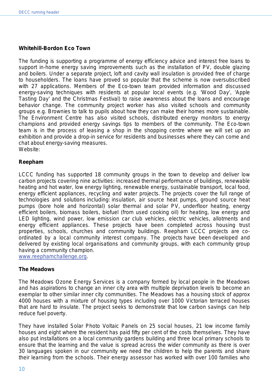# **Whitehill-Bordon Eco Town**

The funding is supporting a programme of energy efficiency advice and interest free loans to support in-home energy saving improvements such as the installation of PV, double glazing and boilers. Under a separate project, loft and cavity wall insulation is provided free of charge to householders. The loans have proved so popular that the scheme is now oversubscribed with 27 applications. Members of the Eco-town team provided information and discussed energy-saving techniques with residents at popular local events (e.g. 'Wood Day', 'Apple Tasting Day' and the Christmas Festival) to raise awareness about the loans and encourage behavior change. The community project worker has also visited schools and community groups e.g. Brownies to talk to pupils about how they can make their homes more sustainable. The Environment Centre has also visited schools, distributed energy monitors to energy champions and provided energy savings tips to members of the community. The Eco-town team is in the process of leasing a shop in the shopping centre where we will set up an exhibition and provide a drop-in service for residents and businesses where they can come and chat about energy-saving measures. Website:

#### **Reepham**

LCCC funding has supported 18 community groups in the town to develop and deliver low carbon projects covering nine activities: increased thermal performance of buildings, renewable heating and hot water, low energy lighting, renewable energy, sustainable transport, local food, energy efficient appliances, recycling and water projects. The projects cover the full range of technologies and solutions including: insulation, air source heat pumps, ground source heat pumps (bore hole and horizontal) solar thermal and solar PV, underfloor heating, energy efficient boilers, biomass boilers, biofuel (from used cooking oil) for heating, low energy and LED lighting, wind power, low emission car club vehicles, electric vehicles, allotments and energy efficient appliances. These projects have been completed across housing trust properties, schools, churches and community buildings. Reepham LCCC projects are coordinated by a local community interest company. The projects have been developed and delivered by existing local organisations and community groups, with each community group having a community champion.

[www.reephamchallenge.org.](http://www.reephamchallenge.org/)

#### **The Meadows**

The Meadows Ozone Energy Services is a company formed by local people in the Meadows and has aspirations to change an inner city area with multiple deprivation levels to become an exemplar to other similar inner city communities. The Meadows has a housing stock of approx 4000 houses with a mixture of housing types including over 1000 Victorian terraced houses that are hard to insulate. The project seeks to demonstrate that low carbon savings can help reduce fuel poverty.

They have installed Solar Photo Voltaic Panels on 25 social houses, 21 low income family houses and eight where the resident has paid fifty per cent of the costs themselves. They have also put installations on a local community gardens building and three local primary schools to ensure that the learning and the value is spread across the wider community as there is over 30 languages spoken in our community we need the children to help the parents and share their learning from the schools. Their energy assessor has worked with over 100 families who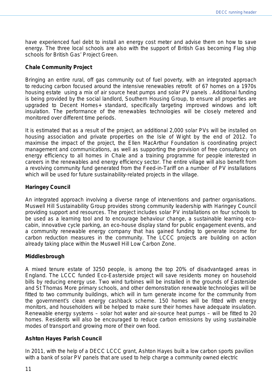have experienced fuel debt to install an energy cost meter and advise them on how to save energy. The three local schools are also with the support of British Gas becoming Flag ship schools for British Gas' *Project Green*.

#### **Chale Community Project**

Bringing an entire rural, off gas community out of fuel poverty, with an integrated approach to reducing carbon focused around the intensive renewables retrofit of 67 homes on a 1970s housing estate using a mix of air source heat pumps and solar PV panels . Additional funding is being provided by the social landlord, Southern Housing Group, to ensure all properties are upgraded to Decent Homes+ standard, specifically targeting improved windows and loft insulation. The performance of the renewables technologies will be closely metered and monitored over different time periods.

It is estimated that as a result of the project, an additional 2,000 solar PVs will be installed on housing association and private properties on the Isle of Wight by the end of 2012. To maximise the impact of the project, the Ellen MacArthur Foundation is coordinating project management and communications, as well as supporting the provision of free consultancy on energy efficiency to all homes in Chale and a training programme for people interested in careers in the renewables and energy efficiency sector. The entire village will also benefit from a revolving community fund generated from the Feed-in-Tariff on a number of PV installations which will be used for future sustainability-related projects in the village.

#### **Haringey Council**

An integrated approach involving a diverse range of interventions and partner organisations. Muswell Hill Sustainability Group provides strong community leadership with Haringey Council providing support and resources. The project includes solar PV installations on four schools to be used as a learning tool and to encourage behaviour change, a sustainable learning ecocabin, innovative cycle parking, an eco-house display stand for public engagement events, and a community renewable energy company that has gained funding to generate income for carbon reduction measures in the community. The LCCC projects are building on action already taking place within the Muswell Hill Low Carbon Zone.

# **Middlesbrough**

A mixed tenure estate of 3250 people, is among the top 20% of disadvantaged areas in England. The LCCC funded Eco-Easterside project will save residents money on household bills by reducing energy use. Two wind turbines will be installed in the grounds of Easterside and St Thomas More primary schools, and other demonstration renewable technologies will be fitted to two community buildings, which will in turn generate income for the community from the government's clean energy cashback scheme. 150 homes will be fitted with energy monitors, and householders will be helped to make sure their homes have adequate insulation. Renewable energy systems – solar hot water and air-source heat pumps – will be fitted to 20 homes. Residents will also be encouraged to reduce carbon emissions by using sustainable modes of transport and growing more of their own food.

#### **Ashton Hayes Parish Council**

In 2011, with the help of a DECC LCCC grant, Ashton Hayes built a low carbon sports pavilion with a bank of solar PV panels that are used to help charge a community owned electric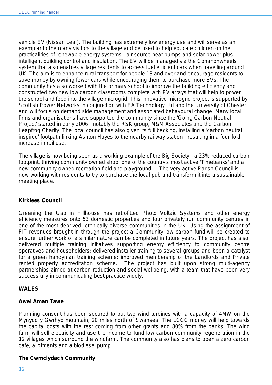vehicle EV (Nissan Leaf). The building has extremely low energy use and will serve as an exemplar to the many visitors to the village and be used to help educate children on the practicalities of renewable energy systems - air source heat pumps and solar power plus intelligent building control and insulation. The EV will be managed via the Commonwheels system that also enables village residents to access fuel efficient cars when travelling around UK. The aim is to enhance rural transport for people 18 and over and encourage residents to save money by owning fewer cars while encouraging them to purchase more EVs. The community has also worked with the primary school to improve the building efficiency and constructed two new low carbon classrooms complete with PV arrays that will help to power the school and feed into the village microgrid. This innovative microgrid project is supported by Scottish Power Networks in conjunction with EA Technology Ltd and the University of Chester and will focus on demand side management and associated behavoural change. Many local firms and organisations have supported the community since the 'Going Carbon Neutral Project' started in early 2006 - notably the RSK group, M&M Associates and the Carbon Leapfrog Charity. The local council has also given its full backing, installing a 'carbon neutral inspired' footpath linking Ashton Hayes to the nearby railway station - resulting in a four-fold increase in rail use.

The village is now being seen as a working example of the Big Society - a 23% reduced carbon footprint, thriving community owned shop, one of the country's most active 'Timebanks' and a new community owned recreation field and playground - . The very active Parish Council is now working with residents to try to purchase the local pub and transform it into a sustainable meeting place.

# **Kirklees Council**

Greening the Gap in Hillhouse has retrofitted Photo Voltaic Systems and other energy efficiency measures onto 53 domestic properties and four privately run community centres in one of the most deprived, ethnically diverse communities in the UK. Using the assignment of FIT revenues brought in through the project a Community low carbon fund will be created to ensure further work of a similar nature can be completed in future years. The project has also: delivered multiple training initiatives supporting energy efficiency to community centre operatives and householders; delivered installer training to several groups and been a catalyst for a green handyman training scheme; improved membership of the Landlords and Private rented property accreditation scheme. The project has built upon strong multi-agency partnerships aimed at carbon reduction and social wellbeing, with a team that have been very successfully in communicating best practice widely.

# **WALES**

# **Awel Aman Tawe**

Planning consent has been secured to put two wind turbines with a capacity of 4MW on the Mynydd y Gwrhyd mountain, 20 miles north of Swansea. The LCCC money will help towards the capital costs with the rest coming from other grants and 80% from the banks. The wind farm will sell electricity and use the income to fund low carbon community regeneration in the 12 villages which surround the windfarm. The community also has plans to open a zero carbon cafe, allotments and a biodiesel pump.

# **The Cwmclydach Community**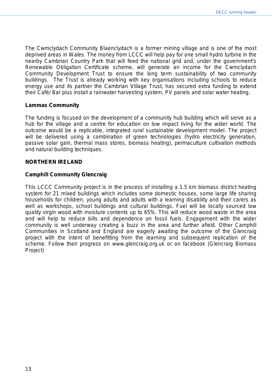The Cwmclydach Community Blaenclydach is a former mining village and is one of the most deprived areas in Wales. The money from LCCC will help pay for one small hydro turbine in the nearby Cambrian Country Park that will feed the national grid and, under the government's Renewable Obligation Certificate scheme, will generate an income for the Cwmclydach Community Development Trust to ensure the long term sustainability of two community buildings. The Trust is already working with key organisations including schools to reduce energy use and its partner the Cambrian Village Trust, has secured extra funding to extend their Café/ Bar plus install a rainwater harvesting system, PV panels and solar water heating.

#### **Lammas Community**

The funding is focused on the development of a community hub building which will serve as a hub for the village and a centre for education on low impact living for the wider world. The outcome would be a replicable, integrated rural sustainable development model. The project will be delivered using a combination of green technologies (hydro electricity generation, passive solar gain, thermal mass stores, biomass heating), permaculture cultivation methods and natural building techniques.

#### **NORTHERN IRELAND**

#### **Camphill Community Glencraig**

This LCCC Community project is in the process of installing a 1.5 km biomass district heating system for 21 mixed buildings which includes some domestic houses, some large life sharing households for children, young adults and adults with a learning disability and their carers as well as workshops, school buildings and cultural buildings. Fuel will be locally sourced low quality virgin wood with moisture contents up to 65%. This will reduce wood waste in the area and will help to reduce bills and dependence on fossil fuels. Engagement with the wider community is well underway creating a buzz in the area and further afield. Other Camphill Communities in Scotland and England are eagerly awaiting the outcome of the Glencraig project with the intent of benefitting from the learning and subsequent replication of the scheme. Follow their progress on www.glencraig.org.uk or on facebook (Glencraig Biomass Project)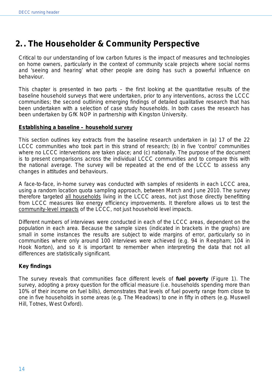# **2. . The Householder & Community Perspective**

Critical to our understanding of low carbon futures is the impact of measures and technologies on home owners, particularly in the context of community scale projects where social norms and 'seeing and hearing' what other people are doing has such a powerful influence on behaviour.

This chapter is presented in two parts – the first looking at the quantitative results of the baseline household surveys that were undertaken, prior to any interventions, across the LCCC communities; the second outlining emerging findings of detailed qualitative research that has been undertaken with a selection of case study households. In both cases the research has been undertaken by GfK NOP in partnership with Kingston University.

# **Establishing a baseline – household survey**

This section outlines key extracts from the baseline research undertaken in (a) 17 of the 22 LCCC communities who took part in this strand of research; (b) in five 'control' communities where no LCCC interventions are taken place; and (c) nationally. The purpose of the document is to present comparisons across the individual LCCC communities and to compare this with the national average. The survey will be repeated at the end of the LCCC to assess any changes in attitudes and behaviours.

A face-to-face, in-home survey was conducted with samples of residents in each LCCC area, using a random location quota sampling approach, between March and June 2010. The survey therefore targeted all households living in the LCCC areas, not just those directly benefitting from LCCC measures like energy efficiency improvements. It therefore allows us to test the community-level impacts of the LCCC, not just household level impacts.

Different numbers of interviews were conducted in each of the LCCC areas, dependent on the population in each area. Because the sample sizes (indicated in brackets in the graphs) are small in some instances the results are subject to wide margins of error, particularly so in communities where only around 100 interviews were achieved (e.g. 94 in Reepham; 104 in Hook Norton), and so it is important to remember when interpreting the data that not all differences are statistically significant.

# *Key findings*

The survey reveals that communities face different levels of **fuel poverty** (Figure 1). The survey, adopting a proxy question for the official measure (i.e. households spending more than 10% of their income on fuel bills), demonstrates that levels of fuel poverty range from close to one in five households in some areas (e.g. The Meadows) to one in fifty in others (e.g. Muswell Hill, Totnes, West Oxford).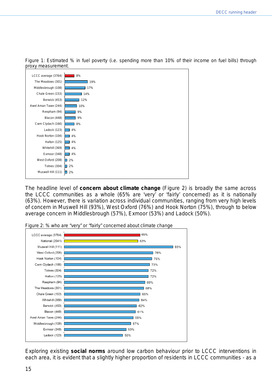

*Figure 1: Estimated % in fuel poverty (i.e. spending more than 10% of their income on fuel bills) through proxy measurement.* 

The headline level of **concern about climate change** (Figure 2) is broadly the same across the LCCC communities as a whole (65% are 'very' or 'fairly' concerned) as it is nationally (63%). However, there is variation across individual communities, ranging from very high levels of concern in Muswell Hill (93%), West Oxford (76%) and Hook Norton (75%), through to below average concern in Middlesbrough (57%), Exmoor (53%) and Ladock (50%).



*Figure 2: % who are "very" or "fairly" concerned about climate change*

Exploring existing **social norms** around low carbon behaviour *prior* to LCCC interventions in each area, it is evident that a slightly higher proportion of residents in LCCC communities - as a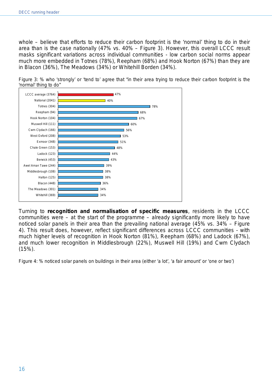whole – believe that efforts to reduce their carbon footprint is the 'normal' thing to do in their area than is the case nationally (47% vs. 40% – Figure 3). However, this overall LCCC result masks significant variations across individual communities - low carbon social norms appear much more embedded in Totnes (78%), Reepham (68%) and Hook Norton (67%) than they are in Blacon (36%), The Meadows (34%) or Whitehill Borden (34%).





Turning to **recognition and normalisation of specific measures**, residents in the LCCC communities were – at the start of the programme – already significantly more likely to have noticed solar panels in their area than the prevailing national average (45% vs. 34% – Figure 4). This result does, however, reflect significant differences across LCCC communities - with much higher levels of recognition in Hook Norton (81%), Reepham (68%) and Ladock (67%), and much lower recognition in Middlesbrough (22%), Muswell Hill (19%) and Cwm Clydach (15%).

*Figure 4: % noticed solar panels on buildings in their area (either 'a lot', 'a fair amount' or 'one or two')*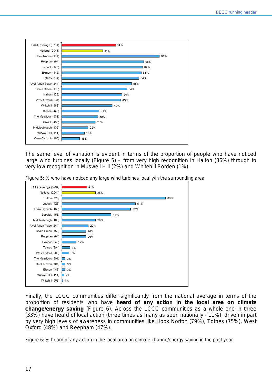

The same level of variation is evident in terms of the proportion of people who have noticed large wind turbines locally (Figure 5) – from very high recognition in Halton (86%) through to very low recognition in Muswell Hill (2%) and Whitehill Borden (1%).

*Figure 5: % who have noticed any large wind turbines locally/in the surrounding area*



Finally, the LCCC communities differ significantly from the national average in terms of the proportion of residents who have **heard of any action in the local area on climate change/energy saving** (Figure 6). Across the LCCC communities as a whole one in three (33%) have heard of local action (three times as many as seen nationally - 11%), driven in part by very high levels of awareness in communities like Hook Norton (79%), Totnes (75%), West Oxford (48%) and Reepham (47%).

*Figure 6: % heard of any action in the local area on climate change/energy saving in the past year*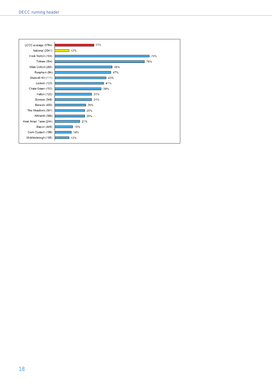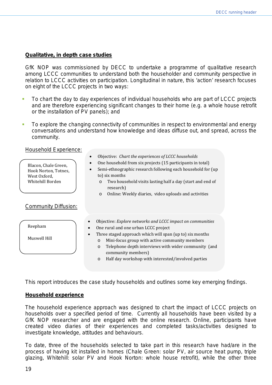# **Qualitative, in depth case studies**

GfK NOP was commissioned by DECC to undertake a programme of qualitative research among LCCC communities to understand both the householder and community perspective in relation to LCCC activities on participation. Longitudinal in nature, this 'action' research focuses on eight of the LCCC projects in two ways:

- To chart the day to day experiences of individual households who are part of LCCC projects and are therefore experiencing significant changes to their home (e.g. a whole house retrofit or the installation of PV panels); and
- To explore the changing connectivity of communities in respect to environmental and energy conversations and understand how knowledge and ideas diffuse out, and spread, across the community.

Household Experience:

| Blacon, Chale Green,<br>Hook Norton, Totnes,<br>West Oxford,<br>Whitehill Borden | Objective: Chart the experiences of LCCC households<br>One household from six projects (15 participants in total)<br>Semi-ethnographic research following each household for (up<br>to) six months<br>Two household visits lasting half a day (start and end of<br>$\circ$<br>research)<br>Online: Weekly diaries, video uploads and activities<br>$\circ$                                                       |
|----------------------------------------------------------------------------------|------------------------------------------------------------------------------------------------------------------------------------------------------------------------------------------------------------------------------------------------------------------------------------------------------------------------------------------------------------------------------------------------------------------|
| <b>Community Diffusion:</b>                                                      |                                                                                                                                                                                                                                                                                                                                                                                                                  |
| Reepham<br>Muswell Hill                                                          | Objective: Explore networks and LCCC impact on communities<br>One rural and one urban LCCC project<br>$\bullet$<br>Three staged approach which will span (up to) six months<br>$\bullet$<br>Mini-focus group with active community members<br>$\Omega$<br>Telephone depth interviews with wider community (and<br>$\circ$<br>community members)<br>Half day workshop with interested/involved parties<br>$\circ$ |

This report introduces the case study households and outlines some key emerging findings.

# **Household experience**

The household experience approach was designed to chart the impact of LCCC projects on households over a specified period of time. Currently all households have been visited by a GfK NOP researcher and are engaged with the online research. Online, participants have created video diaries of their experiences and completed tasks/activities designed to investigate knowledge, attitudes and behaviours.

To date, three of the households selected to take part in this research have had/are in the process of having kit installed in homes (Chale Green: solar PV, air source heat pump, triple glazing, Whitehill: solar PV and Hook Norton: whole house retrofit), while the other three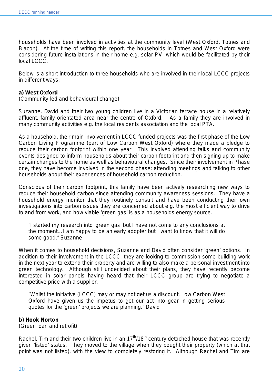households have been involved in activities at the community level (West Oxford, Totnes and Blacon). At the time of writing this report, the households in Totnes and West Oxford were considering future installations in their home e.g. solar PV, which would be facilitated by their local LCCC.

Below is a short introduction to three households who are involved in their local LCCC projects in different ways:

#### **a) West Oxford**

(Community-led and behavioural change)

Suzanne, David and their two young children live in a Victorian terrace house in a relatively affluent, family orientated area near the centre of Oxford. As a family they are involved in many community activities e.g. the local residents association and the local PTA.

As a household, their main involvement in LCCC funded projects was the first phase of the Low Carbon Living Programme (part of Low Carbon West Oxford) where they made a pledge to reduce their carbon footprint within one year. This involved attending talks and community events designed to inform households about their carbon footprint and then signing up to make certain changes to the home as well as behavioural changes. Since their involvement in Phase one, they have become involved in the second phase; attending meetings and talking to other households about their experiences of household carbon reduction.

Conscious of their carbon footprint, this family have been actively researching new ways to reduce their household carbon since attending community awareness sessions. They have a household energy monitor that they routinely consult and have been conducting their own investigations into carbon issues they are concerned about e.g. the most efficient way to drive to and from work, and how viable 'green gas' is as a households energy source.

*"I started my research into 'green gas' but I have not come to any conclusions at the moment…I am happy to be an early adopter but I want to know that it will do some good."* Suzanne

When it comes to household decisions, Suzanne and David often consider 'green' options. In addition to their involvement in the LCCC, they are looking to commission some building work in the next year to extend their property and are willing to also make a personal investment into green technology. Although still undecided about their plans, they have recently become interested in solar panels having heard that their LCCC group are trying to negotiate a competitive price with a supplier.

*"Whilst the initiative (LCCC) may or may not get us a discount, Low Carbon West Oxford have given us the impetus to get our act into gear in getting serious quotes for the 'green' projects we are planning."* David

#### **b) Hook Norton**

(Green loan and retrofit)

Rachel, Tim and their two children live in an  $17<sup>th</sup>/18<sup>th</sup>$  century detached house that was recently given 'listed' status. They moved to the village when they bought their property (which at that point was not listed), with the view to completely restoring it. Although Rachel and Tim are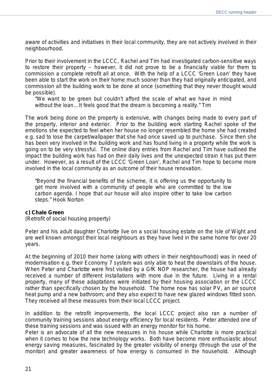aware of activities and initiatives in their local community, they are not actively involved in their neighbourhood.

Prior to their involvement in the LCCC, Rachel and Tim had investigated carbon-sensitive ways to restore their property – however, it did not prove to be a financially viable for them to commission a complete retrofit all at once. With the help of a LCCC 'Green Loan' they have been able to start the work on their home much sooner than they had originally anticipated, and commission all the building work to be done at once (something that they never thought would be possible).

*"We want to be green but couldn't afford the scale of what we have in mind without the loan…It feels good that the dream is becoming a reality."* Tim

The work being done on the property is extensive, with changes being made to every part of the property, interior and exterior. Prior to the building work starting Rachel spoke of the emotions she expected to feel when her house no longer resembled the home she had created e.g. sad to lose the carpet/wallpaper that she had once saved up to purchase. Since then she has been very involved in the building work and has found living in a property while the work is going on to be very stressful. The online diary entries from Rachel and Tim have outlined the impact the building work has had on their daily lives and the unexpected strain it has put them under. However, as a result of the LCCC 'Green Loan', Rachel and Tim hope to become more involved in the local community as an outcome of their house renovation.

*"Beyond the financial benefits of the scheme, it is offering us the opportunity to get more involved with a community of people who are committed to the low carbon agenda. I hope that our house will also inspire other to take low carbon steps."* Hook Norton

#### **c) Chale Green**

(Retrofit of social housing property)

Peter and his adult daughter Charlotte live on a social housing estate on the Isle of Wight and are well known amongst their local neighbours as they have lived in the same home for over 20 years.

At the beginning of 2010 their home (along with others in their neighbourhood) was in need of modernisation e.g. their Economy 7 system was only able to heat the downstairs of the house. When Peter and Charlotte were first visited by a GfK NOP researcher, the house had already received a number of different installations with more due in the future. Living in a rental property, many of these adaptations were initiated by their housing association or the LCCC rather than specifically chosen by the household. The home now has solar PV, an air source heat pump and a new bathroom; and they also expect to have new glazed windows fitted soon. They received all these measures from their local LCCC project.

In addition to the retrofit improvements, the local LCCC project also ran a number of community training sessions about energy efficiency for local residents. Peter attended one of these training sessions and was issued with an energy monitor for his home.

Peter is an advocate of all the new measures in his house while Charlotte is more practical when it comes to how the new technology works. Both have become more enthusiastic about energy saving measures, fascinated by the greater visibility of energy (through the use of the monitor) and greater awareness of how energy is consumed in the household. Although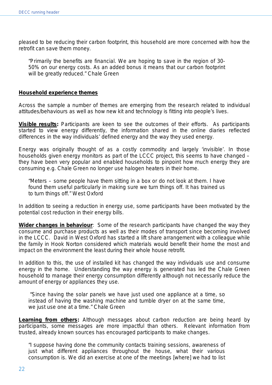pleased to be reducing their carbon footprint, this household are more concerned with how the retrofit can save them money.

*"Primarily the benefits are financial. We are hoping to save in the region of 30- 50% on our energy costs. As an added bonus it means that our carbon footprint will be greatly reduced."* Chale Green

#### **Household experience themes**

Across the sample a number of themes are emerging from the research related to individual attitudes/behaviours as well as how new kit and technology is fitting into people's lives.

**Visible results:** Participants are keen to see the outcomes of their efforts. As participants started to view energy differently, the information shared in the online diaries reflected differences in the way individuals' defined energy and the way they used energy.

Energy was originally thought of as a costly commodity and largely 'invisible'. In those households given energy monitors as part of the LCCC project, this seems to have changed – they have been very popular and enabled households to pinpoint how much energy they are consuming e.g. Chale Green no longer use halogen heaters in their home.

*"Meters – some people have them sitting in a box or do not look at them. I have found them useful particularly in making sure we turn things off. It has trained us to turn things off."* West Oxford

In addition to seeing a reduction in energy use, some participants have been motivated by the potential cost reduction in their energy bills.

**Wider changes in behaviour**: Some of the research participants have changed the way they consume and purchase products as well as their modes of transport since becoming involved in the LCCC. David in West Oxford has started a lift share arrangement with a colleague while the family in Hook Norton considered which materials would benefit their home the most and impact on the environment the least during their whole house retrofit.

In addition to this, the use of installed kit has changed the way individuals use and consume energy in the home. Understanding the way energy is generated has led the Chale Green household to manage their energy consumption differently although not necessarily reduce the amount of energy or appliances they use.

*"Since having the solar panels we have just used one appliance at a time, so instead of having the washing machine and tumble dryer on at the same time, we just use one at a time."* Chale Green

**Learning from others:** Although messages about carbon reduction are being heard by participants, some messages are more impactful than others. Relevant information from trusted, already known sources has encouraged participants to make changes.

*"I suppose having done the community contacts training sessions, awareness of just what different appliances throughout the house, what their various consumption is. We did an exercise at one of the meetings [where] we had to list*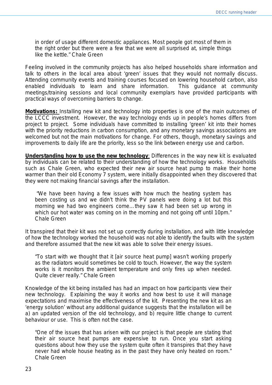*in order of usage different domestic appliances. Most people got most of them in the right order but there were a few that we were all surprised at, simple things like the kettle."* Chale Green

Feeling involved in the community projects has also helped households share information and talk to others in the local area about 'green' issues that they would not normally discuss. Attending community events and training courses focused on lowering household carbon, also enabled individuals to learn and share information. This guidance at community meetings/training sessions and local community exemplars have provided participants with practical ways of overcoming barriers to change.

**Motivations:** Installing new kit and technology into properties is one of the main outcomes of the LCCC investment. However, the way technology ends up in people's homes differs from project to project. Some individuals have committed to installing 'green' kit into their homes with the priority reductions in carbon consumption, and any monetary savings associations are welcomed but not the main motivations for change. For others, though, monetary savings and improvements to daily life are the priority, less so the link between energy use and carbon.

**Understanding how to use the new technology**: Differences in the way new kit is evaluated by individuals can be related to their understanding of how the technology works. Households such as Chale Green, who expected their new air source heat pump to make their home warmer than their old Economy 7 system, were initially disappointed when they discovered that they were not making financial savings after the installation.

*"We have been having a few issues with how much the heating system has been costing us and we didn't think the PV panels were doing a lot but this morning we had two engineers come…they saw it had been set up wrong in which our hot water was coming on in the morning and not going off until 10pm."* Chale Green

It transpired that their kit was not set up correctly during installation, and with little knowledge of how the technology worked the household was not able to identify the faults with the system and therefore assumed that the new kit was able to solve their energy issues.

*"To start with we thought that it [air source heat pump] wasn't working properly*  as the radiators would sometimes be cold to touch. However, the way the system *works is it monitors the ambient temperature and only fires up when needed. Quite clever really."* Chale Green

Knowledge of the kit being installed has had an impact on how participants view their new technology. Explaining the way it works and how best to use it will manage expectations and maximise the effectiveness of the kit. Presenting the new kit as an 'energy solution' without any additional guidance suggests that the installation will be a) an updated version of the old technology, and b) require little change to current behaviour or use. This is often not the case.

*"One of the issues that has arisen with our project is that people are stating that their air source heat pumps are expensive to run. Once you start asking questions about how they use the system quite often it transpires that they have never had whole house heating as in the past they have only heated on room."*  Chale Green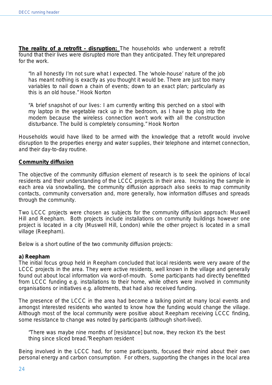**The reality of a retrofit - disruption:** The households who underwent a retrofit found that their lives were disrupted more than they anticipated. They felt unprepared for the work.

*"In all honestly I'm not sure what I expected. The 'whole-house' nature of the job has meant nothing is exactly as you thought it would be. There are just too many variables to nail down a chain of events; down to an exact plan; particularly as this is an old house."* Hook Norton

*"A brief snapshot of our lives: I am currently writing this perched on a stool with my laptop in the vegetable rack up in the bedroom, as I have to plug into the modem because the wireless connection won't work with all the construction disturbance. The build is completely consuming."* Hook Norton

Households would have liked to be armed with the knowledge that a retrofit would involve disruption to the properties energy and water supplies, their telephone and internet connection, and their day-to-day routine.

#### **Community diffusion**

The objective of the community diffusion element of research is to seek the opinions of local residents and their understanding of the LCCC projects in their area. Increasing the sample in each area via snowballing, the community diffusion approach also seeks to map community contacts, community conversation and, more generally, how information diffuses and spreads through the community.

Two LCCC projects were chosen as subjects for the community diffusion approach: Muswell Hill and Reepham. Both projects include installations on community buildings however one project is located in a city (Muswell Hill, London) while the other project is located in a small village (Reepham).

Below is a short outline of the two community diffusion projects:

#### **a) Reepham**

The initial focus group held in Reepham concluded that local residents were very aware of the LCCC projects in the area. They were active residents, well known in the village and generally found out about local information via word-of-mouth. Some participants had directly benefitted from LCCC funding e.g. installations to their home, while others were involved in community organisations or initiatives e.g. allotments, that had also received funding.

The presence of the LCCC in the area had become a talking point at many local events and amongst interested residents who wanted to know how the funding would change the village. Although most of the local community were positive about Reepham receiving LCCC finding, some resistance to change was noted by participants (although short-lived).

*"There was maybe nine months of [resistance] but now, they reckon it's the best thing since sliced bread."*Reepham resident

Being involved in the LCCC had, for some participants, focused their mind about their own personal energy and carbon consumption. For others, supporting the changes in the local area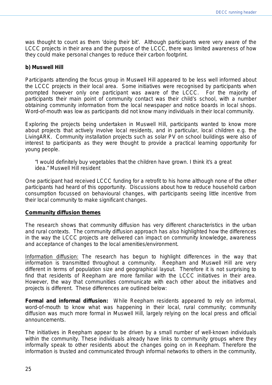was thought to count as them 'doing their bit'. Although participants were very aware of the LCCC projects in their area and the purpose of the LCCC, there was limited awareness of how they could make personal changes to reduce their carbon footprint.

#### **b) Muswell Hill**

Participants attending the focus group in Muswell Hill appeared to be less well informed about the LCCC projects in their local area. Some initiatives were recognised by participants when prompted however only one participant was aware of the LCCC. For the majority of participants their main point of community contact was their child's school, with a number obtaining community information from the local newspaper and notice boards in local shops. Word-of-mouth was low as participants did not know many individuals in their local community.

Exploring the projects being undertaken in Muswell Hill, participants wanted to know more about projects that actively involve local residents, and in particular, local children e.g. the LivingARK. Community installation projects such as solar PV on school buildings were also of interest to participants as they were thought to provide a practical learning opportunity for young people.

*"I would definitely buy vegetables that the children have grown. I think it's a great idea."* Muswell Hill resident

One participant had received LCCC funding for a retrofit to his home although none of the other participants had heard of this opportunity. Discussions about how to reduce household carbon consumption focussed on behavioural changes, with participants seeing little incentive from their local community to make significant changes.

#### **Community diffusion themes**

The research shows that community diffusion has very different characteristics in the urban and rural contexts. The community diffusion approach has also highlighted how the differences in the way the LCCC projects are delivered can impact on community knowledge, awareness and acceptance of changes to the local amenities/environment.

Information diffusion: The research has begun to highlight differences in the way that information is transmitted throughout a community. Reepham and Muswell Hill are very different in terms of population size and geographical layout. Therefore it is not surprising to find that residents of Reepham are more familiar with the LCCC initiatives in their area. However, the way that communities communicate with each other about the initiatives and projects is different. These differences are outlined below:

*Formal and informal diffusion:* While Reepham residents appeared to rely on informal, word-of-mouth to know what was happening in their local, rural community; community diffusion was much more formal in Muswell Hill, largely relying on the local press and official announcements.

The initiatives in Reepham appear to be driven by a small number of well-known individuals within the community. These individuals already have links to community groups where they informally speak to other residents about the changes going on in Reepham. Therefore the information is trusted and communicated through informal networks to others in the community,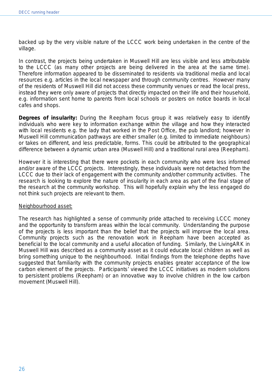backed up by the very visible nature of the LCCC work being undertaken in the centre of the village.

In contrast, the projects being undertaken in Muswell Hill are less visible and less attributable to the LCCC (as many other projects are being delivered in the area at the same time). Therefore information appeared to be disseminated to residents via traditional media and local resources e.g. articles in the local newspaper and through community centres. However many of the residents of Muswell Hill did not access these community venues or read the local press, instead they were only aware of projects that directly impacted on their life and their household, e.g. information sent home to parents from local schools or posters on notice boards in local cafes and shops.

**Degrees of insularity:** During the Reepham focus group it was relatively easy to identify individuals who were key to information exchange within the village and how they interacted with local residents e.g. the lady that worked in the Post Office, the pub landlord; however in Muswell Hill communication pathways are either smaller (e.g. limited to immediate neighbours) or takes on different, and less predictable, forms. This could be attributed to the geographical difference between a dynamic urban area (Muswell Hill) and a traditional rural area (Reepham).

However it is interesting that there were pockets in each community who were less informed and/or aware of the LCCC projects. Interestingly, these individuals were not detached from the LCCC due to their lack of engagement with the community and/other community activities. The research is looking to explore the nature of insularity in each area as part of the final stage of the research at the community workshop. This will hopefully explain why the less engaged do not think such projects are relevant to them.

#### Neighbourhood asset:

The research has highlighted a sense of community pride attached to receiving LCCC money and the opportunity to transform areas within the local community. Understanding the purpose of the projects is less important than the belief that the projects will improve the local area. Community projects such as the renovation work in Reepham have been accepted as beneficial to the local community and a useful allocation of funding. Similarly, the LivingARK in Muswell Hill was described as a community asset as it could educate local children as well as bring something unique to the neighbourhood. Initial findings from the telephone depths have suggested that familiarity with the community projects enables greater acceptance of the low carbon element of the projects. Participants' viewed the LCCC initiatives as modern solutions to persistent problems (Reepham) or an innovative way to involve children in the low carbon movement (Muswell Hill).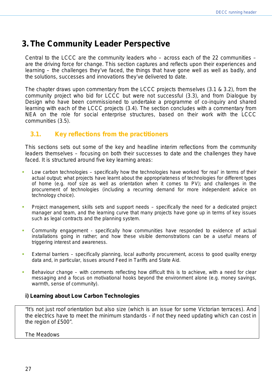# **3. The Community Leader Perspective**

Central to the LCCC are the community leaders who – across each of the 22 communities – are the driving force for change. This section captures and reflects upon their experiences and learning – the challenges they've faced, the things that have gone well as well as badly, and the solutions, successes and innovations they've delivered to date.

The chapter draws upon commentary from the LCCC projects themselves (3.1 & 3.2), from the community project who bid for LCCC but were not successful (3.3), and from Dialogue by Design who have been commissioned to undertake a programme of co-inquiry and shared learning with each of the LCCC projects (3.4). The section concludes with a commentary from NEA on the role for social enterprise structures, based on their work with the LCCC communities (3.5).

# **3.1. Key reflections from the practitioners**

This sections sets out some of the key and headline interim reflections from the community leaders themselves – focusing on both their successes to date and the challenges they have faced. It is structured around five key learning areas:

- *Low carbon technologies* specifically how the technologies have worked 'for real' in terms of their actual output; what projects have learnt about the appropriateness of technologies for different types of home (e.g. roof size as well as orientation when it comes to PV); and challenges in the procurement of technologies (including a recurring demand for more independent advice on technology choice).
- *Project management, skills sets and support needs* specifically the need for a dedicated project manager and team, and the learning curve that many projects have gone up in terms of key issues such as legal contracts and the planning system.
- *Community engagement* specifically how communities have responded to evidence of actual installations going in rather; and how these visible demonstrations can be a useful means of triggering interest and awareness.
- *External barriers* specifically planning, local authority procurement, access to good quality energy data and, in particular, issues around Feed in Tariffs and State Aid.
- *Behaviour change* with comments reflecting how difficult this is to achieve, with a need for clear messaging and a focus on motivational hooks beyond the environment alone (e.g. money savings, warmth, sense of community).

# **i) Learning about Low Carbon Technologies**

*"It's not just roof orientation but also size (which is an issue for some Victorian terraces). And the electrics have to meet the minimum standards - if not they need updating which can cost in the region of £500".* 

# The Meadows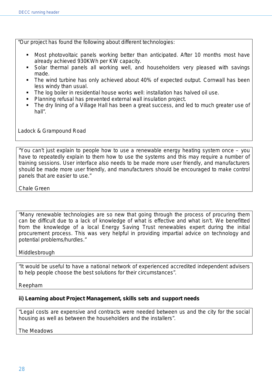*"Our project has found the following about different technologies:*

- **Most photovoltaic panels working better than anticipated. After 10 months most have** *already achieved 930KWh per KW capacity.*
- *Solar thermal panels all working well, and householders very pleased with savings made.*
- *The wind turbine has only achieved about 40% of expected output. Cornwall has been less windy than usual.*
- *The log boiler in residential house works well: installation has halved oil use.*
- *Planning refusal has prevented external wall insulation project.*
- *The dry lining of a Village Hall has been a great success, and led to much greater use of hall".*

Ladock & Grampound Road

*"You can't just explain to people how to use a renewable energy heating system once – you*  have to repeatedly explain to them how to use the systems and this may require a number of *training sessions. User interface also needs to be made more user friendly, and manufacturers should be made more user friendly, and manufacturers should be encouraged to make control panels that are easier to use."*

Chale Green

*"Many renewable technologies are so new that going through the process of procuring them can be difficult due to a lack of knowledge of what is effective and what isn't. We benefitted from the knowledge of a local Energy Saving Trust renewables expert during the initial procurement process. This was very helpful in providing impartial advice on technology and potential problems/hurdles."*

# Middlesbrough

*"It would be useful to have a national network of experienced accredited independent advisers to help people choose the best solutions for their circumstances".*

Reepham

# **ii) Learning about Project Management, skills sets and support needs**

*"Legal costs are expensive and contracts were needed between us and the city for the social housing as well as between the householders and the installers".* 

The Meadows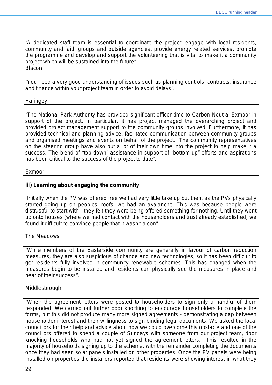*"A dedicated staff team is essential to coordinate the project, engage with local residents, community and faith groups and outside agencies, provide energy related services, promote the programme and develop and support the volunteering that is vital to make it a community project which will be sustained into the future". Blacon*

*"You need a very good understanding of issues such as planning controls, contracts, insurance and finance within your project team in order to avoid delays".* 

#### **Haringey**

*"The National Park Authority has provided significant officer time to Carbon Neutral Exmoor in support of the project. In particular, it has project managed the overarching project and provided project management support to the community groups involved. Furthermore, it has provided technical and planning advice, facilitated communication between community groups and organised meetings and events on behalf of the project. The community representatives on the steering group have also put a lot of their own time into the project to help make it a success. The blend of "top-down" assistance in support of "bottom-up" efforts and aspirations has been critical to the success of the project to date".*

Exmoor

# **iii) Learning about engaging the community**

*"Initially when the PV was offered free we had very little take up but then, as the PVs physically started going up on peoples' roofs, we had an avalanche. This was because people were distrustful to start with - they felt they were being offered something for nothing. Until they went up onto houses (where we had contact with the householders and trust already established) we found it difficult to convince people that it wasn't a con".* 

#### The Meadows

*"While members of the Easterside community are generally in favour of carbon reduction measures, they are also suspicious of change and new technologies, so it has been difficult to get residents fully involved in community renewable schemes. This has changed when the measures begin to be installed and residents can physically see the measures in place and hear of their success".* 

#### Middlesbrough

*"When the agreement letters were posted to householders to sign only a handful of them responded. We carried out further door knocking to encourage householders to complete the forms, but this did not produce many more signed agreements - demonstrating a gap between householder interest and their willingness to sign binding legal documents. We asked the local councillors for their help and advice about how we could overcome this obstacle and one of the councillors offered to spend a couple of Sundays with someone from our project team, door knocking households who had not yet signed the agreement letters. This resulted in the majority of households signing up to the scheme, with the remainder completing the documents once they had seen solar panels installed on other properties. Once the PV panels were being installed on properties the installers reported that residents were showing interest in what they*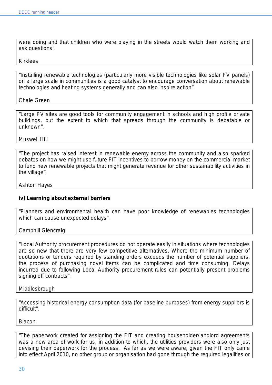*were doing and that children who were playing in the streets would watch them working and ask questions".* 

#### Kirklees

*"Installing renewable technologies (particularly more visible technologies like solar PV panels) on a large scale in communities is a good catalyst to encourage conversation about renewable technologies and heating systems generally and can also inspire action".* 

#### Chale Green

*"Large PV sites are good tools for community engagement in schools and high profile private buildings, but the extent to which that spreads through the community is debatable or unknown".* 

#### Muswell Hill

*"The project has raised interest in renewable energy across the community and also sparked debates on how we might use future FIT incentives to borrow money on the commercial market to fund new renewable projects that might generate revenue for other sustainability activities in the village".* 

#### Ashton Hayes

# **iv) Learning about external barriers**

*"Planners and environmental health can have poor knowledge of renewables technologies which can cause unexpected delays".* 

Camphill Glencraig

*"Local Authority procurement procedures do not operate easily in situations where technologies are so new that there are very few competitive alternatives. Where the minimum number of quotations or tenders required by standing orders exceeds the number of potential suppliers, the process of purchasing novel items can be complicated and time consuming. Delays incurred due to following Local Authority procurement rules can potentially present problems signing off contracts".* 

#### Middlesbrough

*"Accessing historical energy consumption data (for baseline purposes) from energy suppliers is difficult".*

Blacon

*"The paperwork created for assigning the FIT and creating householder/landlord agreements was a new area of work for us, in addition to which, the utilities providers were also only just devising their paperwork for the process. As far as we were aware, given the FIT only came into effect April 2010, no other group or organisation had gone through the required legalities or*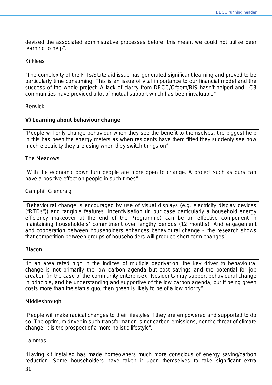*devised the associated administrative processes before, this meant we could not utilise peer learning to help".* 

#### Kirklees

*"The complexity of the FITs/State aid issue has generated significant learning and proved to be particularly time consuming. This is an issue of vital importance to our financial model and the success of the whole project. A lack of clarity from DECC/Ofgem/BIS hasn't helped and LC3 communities have provided a lot of mutual support which has been invaluable".* 

**Berwick** 

# **V) Learning about behaviour change**

*"People will only change behaviour when they see the benefit to themselves, the biggest help in this has been the energy meters as when residents have them fitted they suddenly see how much electricity they are using when they switch things on"* 

The Meadows

*"With the economic down turn people are more open to change. A project such as ours can have a positive effect on people in such times".* 

#### Camphill Glencraig

*"Behavioural change is encouraged by use of visual displays (e.g. electricity display devices ("RTDs")) and tangible features. Incentivisation (in our case particularly a household energy efficiency makeover at the end of the Programme) can be an effective component in maintaining householders' commitment over lengthy periods (12 months). And engagement and cooperation between householders enhances behavioural change – the research shows that competition between groups of householders will produce short-term changes".* 

Blacon

*"In an area rated high in the indices of multiple deprivation, the key driver to behavioural change is not primarily the low carbon agenda but cost savings and the potential for job creation (in the case of the community enterprise). Residents may support behavioural change in principle, and be understanding and supportive of the low carbon agenda, but if being green costs more than the status quo, then green is likely to be of a low priority".* 

#### Middlesbrough

*"People will make radical changes to their lifestyles if they are empowered and supported to do so. The optimum driver in such transformation is not carbon emissions, nor the threat of climate change; it is the prospect of a more holistic lifestyle".* 

Lammas

*"Having kit installed has made homeowners much more conscious of energy saving/carbon reduction. Some householders have taken it upon themselves to take significant extra*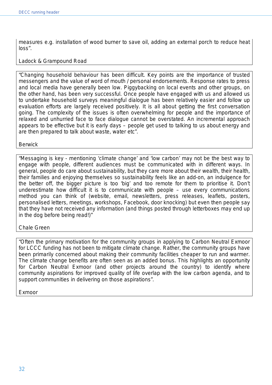*measures e.g. installation of wood burner to save oil, adding an external porch to reduce heat loss".* 

# Ladock & Grampound Road

*"Changing household behaviour has been difficult. Key points are the importance of trusted messengers and the value of word of mouth / personal endorsements. Response rates to press and local media have generally been low. Piggybacking on local events and other groups, on the other hand, has been very successful. Once people have engaged with us and allowed us to undertake household surveys meaningful dialogue has been relatively easier and follow up evaluation efforts are largely received positively. It is all about getting the first conversation going. The complexity of the issues is often overwhelming for people and the importance of relaxed and unhurried face to face dialogue cannot be overstated. An incremental approach appears to be effective but it is early days – people get used to talking to us about energy and are then prepared to talk about waste, water etc".* 

**Berwick** 

*"Messaging is key - mentioning 'climate change' and 'low carbon' may not be the best way to engage with people, different audiences must be communicated with in different ways. In general, people do care about sustainability, but they care more about their wealth, their health, their families and enjoying themselves so sustainability feels like an add-on, an indulgence for the better off, the bigger picture is too 'big' and too remote for them to prioritise it. Don't underestimate how difficult it is to communicate with people – use every communications method you can think of (website, email, newsletters, press releases, leaflets, posters, personalised letters, meetings, workshops, Facebook, door knocking) but even then people say that they have not received any information (and things posted through letterboxes may end up in the dog before being read!)"*

#### Chale Green

*"Often the primary motivation for the community groups in applying to Carbon Neutral Exmoor for LCCC funding has not been to mitigate climate change. Rather, the community groups have been primarily concerned about making their community facilities cheaper to run and warmer. The climate change benefits are often seen as an added bonus. This highlights an opportunity*  for Carbon Neutral Exmoor (and other projects around the country) to identify where *community aspirations for improved quality of life overlap with the low carbon agenda, and to support communities in delivering on those aspirations".*

Exmoor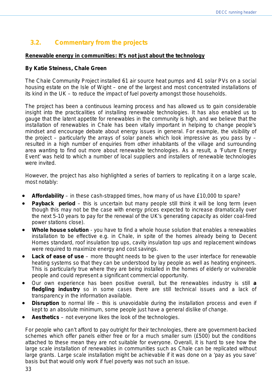# **3.2. Commentary from the projects**

# *Renewable energy in communities: It's not just about the technology*

# *By Katie Steiness, Chale Green*

The Chale Community Project installed 61 air source heat pumps and 41 solar PVs on a social housing estate on the Isle of Wight – one of the largest and most concentrated installations of its kind in the UK – to reduce the impact of fuel poverty amongst those households.

The project has been a continuous learning process and has allowed us to gain considerable insight into the practicalities of installing renewable technologies. It has also enabled us to gauge that the latent appetite for renewables in the community is high, and we believe that the installation of renewables in Chale has been vitally important in helping to change people's mindset and encourage debate about energy issues in general. For example, the visibility of the project – particularly the arrays of solar panels which look impressive as you pass by – resulted in a high number of enquiries from other inhabitants of the village and surrounding area wanting to find out more about renewable technologies. As a result, a 'Future Energy Event' was held to which a number of local suppliers and installers of renewable technologies were invited.

However, the project has also highlighted a series of barriers to replicating it on a large scale, most notably:

- **Affordability** in these cash-strapped times, how many of us have £10,000 to spare?
- **Payback period** this is uncertain but many people still think it will be long term (even though this may not be the case with energy prices expected to increase dramatically over the next 5-10 years to pay for the renewal of the UK's generating capacity as older coal-fired power stations close).
- **Whole house solution** you have to find a whole house solution that enables a renewables installation to be effective e.g. in Chale, in spite of the homes already being to Decent Homes standard, roof insulation top ups, cavity insulation top ups and replacement windows were required to maximize energy and cost savings.
- **Lack of ease of use** more thought needs to be given to the user interface for renewable heating systems so that they can be understood by lay people as well as heating engineers. This is particularly true where they are being installed in the homes of elderly or vulnerable people and could represent a significant commercial opportunity.
- Our own experience has been positive overall, but the renewables industry is still **a fledgling industry** so in some cases there are still technical issues and a lack of transparency in the information available.
- **Disruption** to normal life this is unavoidable during the installation process and even if kept to an absolute minimum, some people just have a general dislike of change.
- **Aesthetics**  not everyone likes the look of the technologies.

For people who can't afford to pay outright for their technologies, there are government-backed schemes which offer panels either free or for a much smaller sum (£500) but the conditions attached to these mean they are not suitable for everyone. Overall, it is hard to see how the large scale installation of renewables in communities such as Chale can be replicated without large grants. Large scale installation might be achievable if it was done on a 'pay as you save' basis but that would only work if fuel poverty was not such an issue.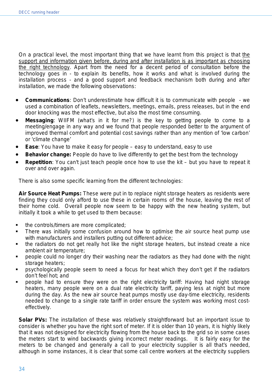On a practical level, the most important thing that we have learnt from this project is that the support and information given before, during and after installation is as important as choosing the right technology. Apart from the need for a decent period of consultation before the technology goes in - to explain its benefits, how it works and what is involved during the installation process - and a good support and feedback mechanism both during and after installation, we made the following observations:

- **Communications**: Don't underestimate how difficult it is to communicate with people we used a combination of leaflets, newsletters, meetings, emails, press releases, but in the end door knocking was the most effective, but also the most time consuming.
- **Messaging**: WIIFM (what's in it for me?) is the key to getting people to come to a meeting/engage in any way and we found that people responded better to the argument of improved thermal comfort and potential cost savings rather than any mention of 'low carbon' or 'climate change'
- **Ease:** You have to make it easy for people easy to understand, easy to use
- **Behavior change:** People do have to live differently to get the best from the technology
- **Repetition**: You can't just teach people once how to use the kit but you have to repeat it over and over again.

There is also some specific learning from the different technologies:

**Air Source Heat Pumps:** These were put in to replace night storage heaters as residents were finding they could only afford to use these in certain rooms of the house, leaving the rest of their home cold. Overall people now seem to be happy with the new heating system, but initially it took a while to get used to them because:

- the controls/timers are more complicated;
- **There was initially some confusion around how to optimise the air source heat pump use** with manufacturers and installers putting out different advice;
- the radiators do not get really hot like the night storage heaters, but instead create a nice ambient air temperature;
- people could no longer dry their washing near the radiators as they had done with the night storage heaters;
- psychologically people seem to need a focus for heat which they don't get if the radiators don't feel hot; and
- people had to ensure they were on the right electricity tariff: Having had night storage heaters, many people were on a dual rate electricity tariff, paying less at night but more during the day. As the new air source heat pumps mostly use day-time electricity, residents needed to change to a single rate tariff in order ensure the system was working most costeffectively.

**Solar PVs:** The installation of these was relatively straightforward but an important issue to consider is whether you have the right sort of meter. If it is older than 10 years, it is highly likely that it was not designed for electricity flowing from the house back to the grid so in some cases the meters start to wind backwards giving incorrect meter readings. It is fairly easy for the meters to be changed and generally a call to your electricity supplier is all that's needed, although in some instances, it is clear that some call centre workers at the electricity suppliers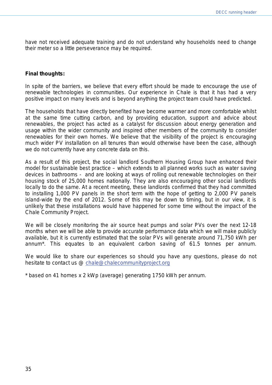have not received adequate training and do not understand why households need to change their meter so a little perseverance may be required.

#### **Final thoughts:**

In spite of the barriers, we believe that every effort should be made to encourage the use of renewable technologies in communities. Our experience in Chale is that it has had a very positive impact on many levels and is beyond anything the project team could have predicted.

The households that have directly benefited have become warmer and more comfortable whilst at the same time cutting carbon, and by providing education, support and advice about renewables, the project has acted as a catalyst for discussion about energy generation and usage within the wider community and inspired other members of the community to consider renewables for their own homes. We believe that the visibility of the project is encouraging much wider PV installation on all tenures than would otherwise have been the case, although we do not currently have any concrete data on this.

As a result of this project, the social landlord Southern Housing Group have enhanced their model for sustainable best practice – which extends to all planned works such as water saving devices in bathrooms - and are looking at ways of rolling out renewable technologies on their housing stock of 25,000 homes nationally. They are also encouraging other social landlords locally to do the same. At a recent meeting, these landlords confirmed that they had committed to installing 1,000 PV panels in the short term with the hope of getting to 2,000 PV panels island-wide by the end of 2012. Some of this may be down to timing, but in our view, it is unlikely that these installations would have happened for some time without the impact of the Chale Community Project.

We will be closely monitoring the air source heat pumps and solar PVs over the next 12-18 months when we will be able to provide accurate performance data which we will make publicly available, but it is currently estimated that the solar PVs will generate around 71,750 kWh per annum\*. This equates to an equivalent carbon saving of 61.5 tonnes per annum.

We would like to share our experiences so should you have any questions, please do not hesitate to contact us @ [chale@chalecommunityproject.org](mailto:chale@chalecommunityproject.org)

\* based on 41 homes x 2 kWp (average) generating 1750 kWh per annum.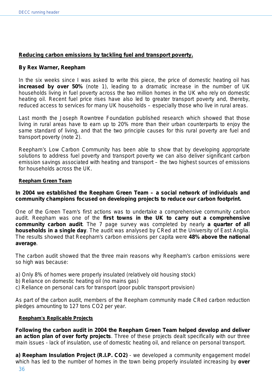# *Reducing carbon emissions by tackling fuel and transport poverty.*

#### **By Rex Warner, Reepham**

In the six weeks since I was asked to write this piece, the price of domestic heating oil has **increased by over 50%** (note 1), leading to a dramatic increase in the number of UK households living in fuel poverty across the two million homes in the UK who rely on domestic heating oil. Recent fuel price rises have also led to greater transport poverty and, thereby, reduced access to services for many UK households – especially those who live in rural areas.

Last month the Joseph Rowntree Foundation published research which showed that those living in rural areas have to earn up to 20% more than their urban counterparts to enjoy the same standard of living, and that the two principle causes for this rural poverty are fuel and transport poverty (note 2).

Reepham's Low Carbon Community has been able to show that by developing appropriate solutions to address fuel poverty and transport poverty we can also deliver significant carbon emission savings associated with heating and transport – the two highest sources of emissions for households across the UK.

#### **Reepham Green Team**

**In 2004 we established the Reepham Green Team – a social network of individuals and community champions focused on developing projects to reduce our carbon footprint.**

One of the Green Team's first actions was to undertake a comprehensive community carbon audit. Reepham was one of the **first towns in the UK to carry out a comprehensive community carbon audit**. The 7 page survey was completed by nearly **a quarter of all households in a single day**. The audit was analysed by CRed at the University of East Anglia. The results showed that Reepham's carbon emissions per capita were **48% above the national average**.

The carbon audit showed that the three main reasons why Reepham's carbon emissions were so high was because:

- a) Only 8% of homes were properly insulated (relatively old housing stock)
- b) Reliance on domestic heating oil (no mains gas)
- c) Reliance on personal cars for transport (poor public transport provision)

As part of the carbon audit, members of the Reepham community made CRed carbon reduction pledges amounting to 127 tons CO2 per year.

#### **Reepham's Replicable Projects**

**Following the carbon audit in 2004 the Reepham Green Team helped develop and deliver an action plan of over forty projects**. Three of these projects dealt specifically with our three main issues - lack of insulation, use of domestic heating oil, and reliance on personal transport.

**a) Reepham Insulation Project (R.I.P. CO2)** - we developed a community engagement model which has led to the number of homes in the town being properly insulated increasing by **over**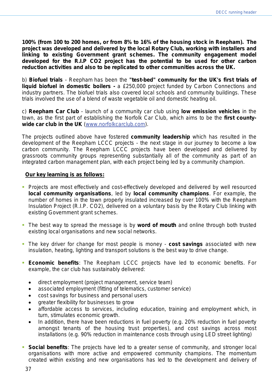**100% (from 100 to 200 homes, or from 8% to 16% of the housing stock in Reepham). The project was developed and delivered by the local Rotary Club, working with installers and linking to existing Government grant schemes. The community engagement model developed for the R.I.P CO2 project has the potential to be used for other carbon reduction activities and also to be replicated to other communities across the UK.**

b) **Biofuel trials** - Reepham has been the **"test-bed" community for the UK's first trials of liquid biofuel in domestic boilers -** a £250,000 project funded by Carbon Connections and industry partners. The biofuel trials also covered local schools and community buildings. These trials involved the use of a blend of waste vegetable oil and domestic heating oil.

c) **Reepham Car Club** - launch of a community car club using **low emission vehicles** in the town, as the first part of establishing the Norfolk Car Club, which aims to be the **first countywide car club in the UK** [\(www.norfolkcarclub.com\)](http://www.norfolkcarclub.com/).

The projects outlined above have fostered **community leadership** which has resulted in the development of the Reepham LCCC projects - the next stage in our journey to become a low carbon community. The Reepham LCCC projects have been developed and delivered by grassroots community groups representing substantially all of the community as part of an integrated carbon management plan, with each project being led by a community champion.

# **Our key learning is as follows:**

- **Projects are most effectively and cost-effectively developed and delivered by well resourced local community organisations**, led by **local community champions**. For example, the number of homes in the town properly insulated increased by over 100% with the Reepham Insulation Project (R.I.P. CO2), delivered on a voluntary basis by the Rotary Club linking with existing Government grant schemes.
- The best way to spread the message is by **word of mouth** and online through both trusted existing local organisations and new social networks.
- The key driver for change for most people is money **cost savings** associated with new insulation, heating, lighting and transport solutions is the best way to drive change.
- **Economic benefits**: The Reepham LCCC projects have led to economic benefits. For example, the car club has sustainably delivered:
	- direct employment (project management, service team)
	- associated employment (fitting of telematics, customer service)
	- cost savings for business and personal users
	- greater flexibility for businesses to grow
	- affordable access to services, including education, training and employment which, in turn, stimulates economic growth.
	- In addition, there have been reductions in fuel poverty (e.g. 20% reduction in fuel poverty amongst tenants of the housing trust properties), and cost savings across most installations (e.g. 90% reduction in maintenance costs through using LED street lighting)
- **Social benefits**: The projects have led to a greater sense of community, and stronger local organisations with more active and empowered community champions. The momentum created within existing and new organisations has led to the development and delivery of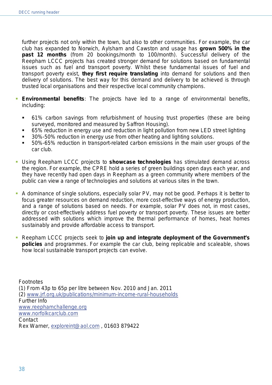further projects not only within the town, but also to other communities. For example, the car club has expanded to Norwich, Aylsham and Cawston and usage has **grown 500% in the past 12 months** (from 20 bookings/month to 100/month). Successful delivery of the Reepham LCCC projects has created stronger demand for solutions based on fundamental issues such as fuel and transport poverty. Whilst these fundamental issues of fuel and transport poverty exist, **they first require translating** into demand for solutions and then delivery of solutions. The best way for this demand and delivery to be achieved is through trusted local organisations and their respective local community champions.

- **Environmental benefits**: The projects have led to a range of environmental benefits, including:
	- 61% carbon savings from refurbishment of housing trust properties (these are being surveyed, monitored and measured by Saffron Housing).
	- 65% reduction in energy use and reduction in light pollution from new LED street lighting
	- 30%-50% reduction in energy use from other heating and lighting solutions.
	- 50%-65% reduction in transport-related carbon emissions in the main user groups of the car club.
- Using Reepham LCCC projects to **showcase technologies** has stimulated demand across the region. For example, the CPRE hold a series of green buildings open days each year, and they have recently had open days in Reepham as a green community where members of the public can view a range of technologies and solutions at various sites in the town.
- A dominance of single solutions, especially solar PV, may not be good. Perhaps it is better to focus greater resources on demand reduction, more cost-effective ways of energy production, and a range of solutions based on needs. For example, solar PV does not, in most cases, directly or cost-effectively address fuel poverty or transport poverty. These issues are better addressed with solutions which improve the thermal performance of homes, heat homes sustainably and provide affordable access to transport.
- Reepham LCCC projects seek to **join up and integrate deployment of the Government's policies** and programmes. For example the car club, being replicable and scaleable, shows how local sustainable transport projects can evolve.

**Footnotes** (1) From 43p to 65p per litre between Nov. 2010 and Jan. 2011 (2) [www.jrf.org.uk/publications/minimum-income-rural-households](http://www.jrf.org.uk/publications/minimum-income-rural-households) Further Info [www.reephamchallenge.org](http://www.reephamchallenge.org/) [www.norfolkcarclub.com](http://www.norfolkcarclub.com/) **Contact** Rex Warner, [exploreint@aol.com](mailto:exploreint@aol.com) , 01603 879422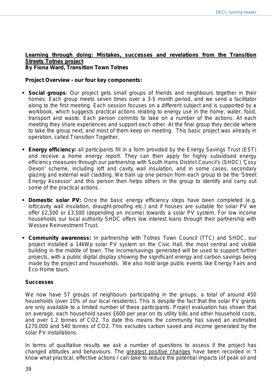# **Learning through doing: Mistakes, successes and revelations from the Transition Streets Totnes project**

*By Fiona Ward, Transition Town Totnes* 

# **Project Overview - our four key components:**

- **Social groups**: Our project gets small groups of friends and neighbours together in their homes. Each group meets seven times over a 3-5 month period, and we send a facilitator along to the first meeting. Each session focuses on a different subject and is supported by a workbook, which suggests practical actions relating to energy use in the home, water, food, transport and waste. Each person commits to take on a number of the actions. At each meeting they share experiences and support each other. At the final group they decide where to take the group next, and most of them keep on meeting. This basic project was already in operation, called Transition Together.
- **Energy efficiency:** all participants fill in a form provided by the Energy Savings Trust (EST) and receive a home energy report. They can then apply for highly subsidised energy efficiency measures through our partnership with South Hams District Council's (SHDC) 'Çosy Devon' scheme, including loft and cavity wall insulation, and in some cases, secondary glazing and external wall cladding. We train up one person from each group to be the 'Street Energy Assessor' and this person then helps others in the group to identify and carry out some of the practical actions.
- **Domestic solar PV:** Once the basic energy efficiency steps have been completed (e.g. loft/cavity wall insulation, draught-proofing etc.) and if houses are suitable for solar PV we offer £2,500 or £3,500 (depending on income) towards a solar PV system. For low income households our local authority SHDC offers low interest loans through their partnership with Wessex Reinvestment Trust.
- **Community awareness:** In partnership with Totnes Town Council (TTC) and SHDC, our project installed a 14kWp solar PV system on the Civic Hall, the most central and visible building in the middle of town. The income/savings generated will be used to support further projects, with a public digital display showing the significant energy and carbon savings being made by the project and households. We also hold large public events like Energy Fairs and Eco-Home tours.

# **Successes**

We now have 57 groups of neighbours participating in the groups, a total of around 450 households (over 10% of our local residents). This is despite the fact that the solar PV grants are only available to a limited number of these participants. Project evaluation has shown that on average, each household saves £600 per year on its utility bills and other household costs, and over 1.2 tonnes of CO2. To date this means the community has saved an estimated £270,000 and 540 tonnes of CO2. This excludes carbon saved and income generated by the solar PV installations.

In terms of qualitative results we ask a number of questions to assess if the project has changed attitudes and behaviours. The greatest positive changes have been recorded in "I know what practical, effective actions I can take to reduce the potential impacts (of peak oil and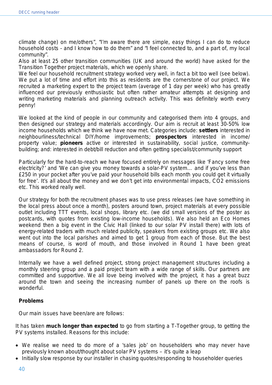climate change) on me/others", "I'm aware there are simple, easy things I can do to reduce household costs - and I know how to do them" and "I feel connected to, and a part of, my local community".

Also at least 25 other transition communities (UK and around the world) have asked for the Transition Together project materials, which we openly share.

We feel our household recruitment strategy worked very well, in fact a bit too well (see below). We put a lot of time and effort into this as residents are the cornerstone of our project. We recruited a marketing expert to the project team (average of 1 day per week) who has greatly influenced our previously enthusiastic but often rather amateur attempts at designing and writing marketing materials and planning outreach activity. This was definitely worth every penny!

We looked at the kind of people in our community and categorised them into 4 groups, and then designed our strategy and materials accordingly. Our aim is recruit at least 30-50% low income households which we think we have now met. Categories include: **settlers** interested in neighbourliness/technical DIY/home improvements; **prospectors** interested in income/ property value; **pioneers** active or interested in sustainability, social justice, communitybuilding; and: interested in debt/bill reduction and often getting specialist/community support

Particularly for the hard-to-reach we have focused entirely on messages like 'Fancy some free electricity?' and 'We can give you money towards a solar-PV system… and if you've less than £250 in your pocket after you've paid your household bills each month you could get it virtually for free'. It's all about the money and we don't get into environmental impacts, CO2 emissions etc. This worked really well.

Our strategy for both the recruitment phases was to use press releases (we have something in the local press about once a month), posters around town, project materials at every possible outlet including TTT events, local shops, library etc. (we did small versions of the poster as postcards, with quotes from existing low-income households). We also held an Eco Homes weekend then a big event in the Civic Hall (linked to our solar PV install there) with lots of energy-related traders with much related publicity, speakers from existing groups etc. We also went out into the local parishes and aimed to get 1 group from each of those. But the best means of course, is word of mouth, and those involved in Round 1 have been great ambassadors for Round 2.

Internally we have a well defined project, strong project management structures including a monthly steering group and a paid project team with a wide range of skills. Our partners are committed and supportive. We all love being involved with the project, it has a great buzz around the town and seeing the increasing number of panels up there on the roofs is wonderful.

# **Problems**

Our main issues have been/are are follows:

It has taken **much longer than expected** to go from starting a T-Together group, to getting the PV systems installed. Reasons for this include:

- We realise we need to do more of a 'sales job' on householders who may never have previously known about/thought about solar PV systems – it's quite a leap
- Initially slow response by our installer in chasing quotes/responding to householder queries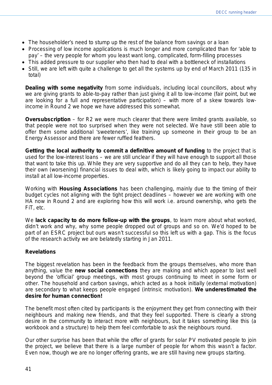- The householder's need to stump up the rest of the balance from savings or a loan
- Processing of low income applications is much longer and more complicated than for 'able to pay' – the very people for whom you least want long, complicated, form-filling processes
- This added pressure to our supplier who then had to deal with a bottleneck of installations
- Still, we are left with quite a challenge to get all the systems up by end of March 2011 (135 in total)

**Dealing with some negativity** from some individuals, including local councillors, about why we are giving grants to able-to-pay rather than just giving it all to low-income (fair point, but we are looking for a full and representative participation) – with more of a skew towards lowincome in Round 2 we hope we have addressed this somewhat.

**Oversubscription** – for R2 we were much clearer that there were limited grants available, so that people were not too surprised when they were not selected. We have still been able to offer them some additional 'sweeteners', like training up someone in their group to be an Energy Assessor and there are fewer ruffled feathers.

**Getting the local authority to commit a definitive amount of funding** to the project that is used for the low-interest loans – we are still unclear if they will have enough to support all those that want to take this up. While they are very supportive and do all they can to help, they have their own (worsening) financial issues to deal with, which is likely going to impact our ability to install at all low-income properties.

Working with **Housing Associations** has been challenging, mainly due to the timing of their budget cycles not aligning with the tight project deadlines – however we are working with one HA now in Round 2 and are exploring how this will work i.e. around ownership, who gets the FiT, etc.

We **lack capacity to do more follow-up with the groups**, to learn more about what worked, didn't work and why, why some people dropped out of groups and so on. We'd hoped to be part of an ESRC project but ours wasn't successful so this left us with a gap. This is the focus of the research activity we are belatedly starting in Jan 2011.

# **Revelations**

The biggest revelation has been in the feedback from the groups themselves, who more than anything, value the **new social connections** they are making and which appear to last well beyond the 'official' group meetings, with most groups continuing to meet in some form or other. The household and carbon savings, which acted as a hook initially (external motivation) are secondary to what keeps people engaged (intrinsic motivation). **We underestimated the desire for human connection!**

The benefit most often cited by participants is the enjoyment they get from connecting with their neighbours and making new friends, and that they feel supported. There is clearly a strong desire in the community to interact more with neighbours, but it takes something like this (a workbook and a structure) to help them feel comfortable to ask the neighbours round.

Our other surprise has been that while the offer of grants for solar PV motivated people to join the project, we believe that there is a large number of people for whom this wasn't a factor. Even now, though we are no longer offering grants, we are still having new groups starting.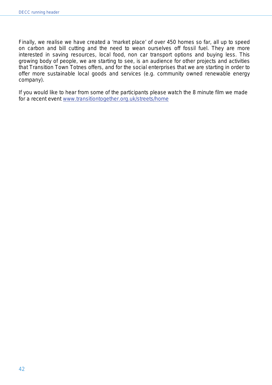Finally, we realise we have created a 'market place' of over 450 homes so far, all up to speed on carbon and bill cutting and the need to wean ourselves off fossil fuel. They are more interested in saving resources, local food, non car transport options and buying less. This growing body of people, we are starting to see, is an audience for other projects and activities that Transition Town Totnes offers, and for the social enterprises that we are starting in order to offer more sustainable local goods and services (e.g. community owned renewable energy company).

If you would like to hear from some of the participants please watch the 8 minute film we made for a recent event [www.transitiontogether.org.uk/streets/home](http://www.transitiontogether.org.uk/streets/home)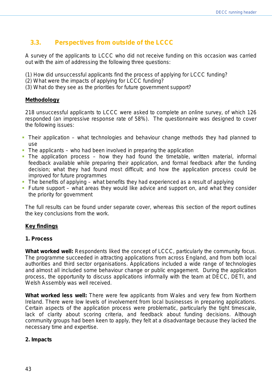# **3.3. Perspectives from outside of the LCCC**

A survey of the applicants to LCCC who did not receive funding on this occasion was carried out with the aim of addressing the following three questions:

- (1) How did unsuccessful applicants find the process of applying for LCCC funding?
- (2) What were the impacts of applying for LCCC funding?
- (3) What do they see as the priorities for future government support?

# **Methodology**

218 unsuccessful applicants to LCCC were asked to complete an online survey, of which 126 responded (an impressive response rate of 58%). The questionnaire was designed to cover the following issues:

- *Their application*  what technologies and behaviour change methods they had planned to use
- *The applicants* who had been involved in preparing the application
- *The application process* how they had found the timetable, written material, informal feedback available while preparing their application, and formal feedback after the funding decision; what they had found most difficult; and how the application process could be improved for future programmes
- *The benefits of applying* what benefits they had experienced as a result of applying
- *Future support* what areas they would like advice and support on, and what they consider the priority for government

The full results can be found under separate cover, whereas this section of the report outlines the key conclusions from the work.

# **Key findings**

#### **1. Process**

**What worked well:** Respondents liked the concept of LCCC, particularly the community focus. The programme succeeded in attracting applications from across England, and from both local authorities and third sector organisations. Applications included a wide range of technologies and almost all included some behaviour change or public engagement. During the application process, the opportunity to discuss applications informally with the team at DECC, DETI, and Welsh Assembly was well received.

*What worked less well:* There were few applicants from Wales and very few from Northern Ireland. There were low levels of involvement from local businesses in preparing applications. Certain aspects of the application process were problematic, particularly the tight timescale, lack of clarity about scoring criteria, and feedback about funding decisions. Although community groups had been keen to apply, they felt at a disadvantage because they lacked the necessary time and expertise.

#### **2. Impacts**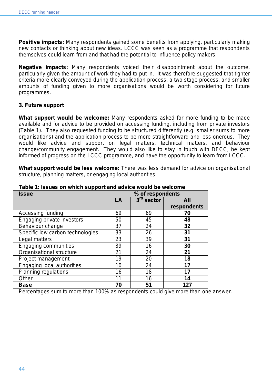**Positive impacts:** Many respondents gained some benefits from applying, particularly making new contacts or thinking about new ideas. LCCC was seen as a programme that respondents themselves could learn from and that had the potential to influence policy makers.

*Negative impacts:* Many respondents voiced their disappointment about the outcome, particularly given the amount of work they had to put in. It was therefore suggested that tighter criteria more clearly conveyed during the application process, a two stage process, and smaller amounts of funding given to more organisations would be worth considering for future programmes.

# **3. Future support**

*What support would be welcome:* Many respondents asked for more funding to be made available and for advice to be provided on accessing funding, including from private investors (Table 1). They also requested funding to be structured differently (e.g. smaller sums to more organisations) and the application process to be more straightforward and less onerous. They would like advice and support on legal matters, technical matters, and behaviour change/community engagement. They would also like to stay in touch with DECC, be kept informed of progress on the LCCC programme, and have the opportunity to learn from LCCC.

*What support would be less welcome: There* was less demand for advice on organisational structure, planning matters, or engaging local authorities.

| <b>TAMIO TE IOOGOO OII MINUT OGPPOIT GHA GUTTOO MOGHA NO MOIOONIO</b><br><b>Issue</b> |                  |                        |             |  |
|---------------------------------------------------------------------------------------|------------------|------------------------|-------------|--|
|                                                                                       | % of respondents |                        |             |  |
|                                                                                       | LA               | 3 <sup>rd</sup> sector | All         |  |
|                                                                                       |                  |                        | respondents |  |
| Accessing funding                                                                     | 69               | 69                     | 70          |  |
| Engaging private investors                                                            | 50               | 45                     | 48          |  |
| Behaviour change                                                                      | 37               | 24                     | 32          |  |
| Specific low carbon technologies                                                      | 33               | 26                     | 31          |  |
| Legal matters                                                                         | 23               | 39                     | 31          |  |
| <b>Engaging communities</b>                                                           | 39               | 16                     | 30          |  |
| Organisational structure                                                              | 21               | 24                     | 21          |  |
| Project management                                                                    | 19               | 20                     | 18          |  |
| Engaging local authorities                                                            | 10               | 24                     | 17          |  |
| <b>Planning regulations</b>                                                           | 16               | 18                     | 17          |  |
| Other                                                                                 | 11               | 16                     | 14          |  |
| <b>Base</b>                                                                           | 70               | 51                     | 127         |  |

**Table 1: Issues on which support and advice would be welcome**

*Percentages sum to more than 100% as respondents could give more than one answer.*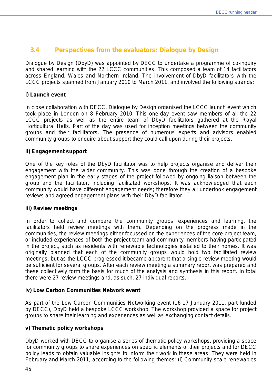# **3.4 Perspectives from the evaluators: Dialogue by Design**

Dialogue by Design (DbyD) was appointed by DECC to undertake a programme of co-inquiry and shared learning with the 22 LCCC communities. This composed a team of 14 facilitators across England, Wales and Northern Ireland. The involvement of DbyD facilitators with the LCCC projects spanned from January 2010 to March 2011, and involved the following strands:

# **i) Launch event**

In close collaboration with DECC, Dialogue by Design organised the LCCC launch event which took place in London on 8 February 2010. This one-day event saw members of all the 22 LCCC projects as well as the entire team of DbyD facilitators gathered at the Royal Horticultural Halls. Part of the day was used for inception meetings between the community groups and their facilitators. The presence of numerous experts and advisors enabled community groups to enquire about support they could call upon during their projects.

#### **ii) Engagement support**

One of the key roles of the DbyD facilitator was to help projects organise and deliver their engagement with the wider community. This was done through the creation of a bespoke engagement plan in the early stages of the project followed by ongoing liaison between the group and the facilitator, including facilitated workshops. It was acknowledged that each community would have different engagement needs; therefore they all undertook engagement reviews and agreed engagement plans with their DbyD facilitator.

#### **iii) Review meetings**

In order to collect and compare the community groups' experiences and learning, the facilitators held review meetings with them. Depending on the progress made in the communities, the review meetings either focussed on the experiences of the core project team, or included experiences of both the project team and community members having participated in the project, such as residents with renewable technologies installed to their homes. It was originally planned that each of the community groups would hold two facilitated review meetings, but as the LCCC progressed it became apparent that a single review meeting would be sufficient for several groups. After each review meeting a summary report was prepared and these collectively form the basis for much of the analysis and synthesis in this report. In total there were 27 review meetings and, as such, 27 individual reports.

# **iv) Low Carbon Communities Network event**

As part of the Low Carbon Communities Networking event (16-17 January 2011, part funded by DECC), DbyD held a bespoke LCCC workshop. The workshop provided a space for project groups to share their learning and experiences as well as exchanging contact details.

#### **v) Thematic policy workshops**

DbyD worked with DECC to organise a series of thematic policy workshops, providing a space for community groups to share experiences on specific elements of their projects and for DECC policy leads to obtain valuable insights to inform their work in these areas. They were held in February and March 2011, according to the following themes: (i) Community scale renewables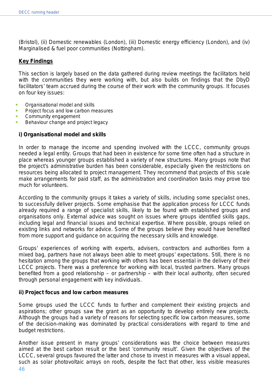(Bristol), (ii) Domestic renewables (London), (iii) Domestic energy efficiency (London), and (iv) Marginalised & fuel poor communities (Nottingham).

# **Key Findings**

This section is largely based on the data gathered during review meetings the facilitators held with the communities they were working with, but also builds on findings that the DbyD facilitators' team accrued during the course of their work with the community groups. It focuses on four key issues:

- Organisational model and skills
- Project focus and low carbon measures
- Community engagement
- Behaviour change and project legacy

# *i) Organisational model and skills*

In order to manage the income and spending involved with the LCCC, community groups needed a legal entity. Groups that had been in existence for some time often had a structure in place whereas younger groups established a variety of new structures. Many groups note that the project's administrative burden has been considerable, especially given the restrictions on resources being allocated to project management. They recommend that projects of this scale make arrangements for paid staff, as the administration and coordination tasks may prove too much for volunteers.

According to the community groups it takes a variety of skills, including some specialist ones, to successfully deliver projects. Some emphasise that the application process for LCCC funds already required a range of specialist skills, likely to be found with established groups and organisations only. External advice was sought on issues where groups identified skills gaps, including legal and financial issues and technical expertise. Where possible, groups relied on existing links and networks for advice. Some of the groups believe they would have benefited from more support and guidance on acquiring the necessary skills and knowledge.

Groups' experiences of working with experts, advisers, contractors and authorities form a mixed bag, partners have not always been able to meet groups' expectations. Still, there is no hesitation among the groups that working with others has been essential in the delivery of their LCCC projects. There was a preference for working with local, trusted partners. Many groups benefited from a good relationship – or partnership – with their local authority, often secured through personal engagement with key individuals.

#### *ii) Project focus and low carbon measures*

Some groups used the LCCC funds to further and complement their existing projects and aspirations; other groups saw the grant as an opportunity to develop entirely new projects. Although the groups had a variety of reasons for selecting specific low carbon measures, some of the decision-making was dominated by practical considerations with regard to time and budget restrictions.

Another issue present in many groups' considerations was the choice between measures aimed at the best carbon result or the best 'community result'. Given the objectives of the LCCC, several groups favoured the latter and chose to invest in measures with a visual appeal, such as solar photovoltaic arrays on roofs, despite the fact that other, less visible measures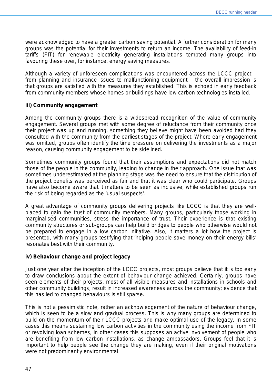were acknowledged to have a greater carbon saving potential. A further consideration for many groups was the potential for their investments to return an income. The availability of feed-in tariffs (FIT) for renewable electricity generating installations tempted many groups into favouring these over, for instance, energy saving measures.

Although a variety of unforeseen complications was encountered across the LCCC project – from planning and insurance issues to malfunctioning equipment – the overall impression is that groups are satisfied with the measures they established. This is echoed in early feedback from community members whose homes or buildings have low carbon technologies installed.

# *iii) Community engagement*

Among the community groups there is a widespread recognition of the value of community engagement. Several groups met with some degree of reluctance from their community once their project was up and running, something they believe might have been avoided had they consulted with the community from the earliest stages of the project. Where early engagement was omitted, groups often identify the time pressure on delivering the investments as a major reason, causing community engagement to be sidelined.

Sometimes community groups found that their assumptions and expectations did not match those of the people in the community, leading to change in their approach. One issue that was sometimes underestimated at the planning stage was the need to ensure that the distribution of the project benefits was perceived as fair and that it was clear who could participate. Groups have also become aware that it matters to be seen as inclusive, while established groups run the risk of being regarded as the 'usual suspects'.

A great advantage of community groups delivering projects like LCCC is that they are wellplaced to gain the trust of community members. Many groups, particularly those working in marginalised communities, stress the importance of trust. Their experience is that existing community structures or sub-groups can help build bridges to people who otherwise would not be prepared to engage in a low carbon initiative. Also, it matters a lot how the project is presented, with many groups testifying that 'helping people save money on their energy bills' resonates best with their community.

# *iv) Behaviour change and project legacy*

Just one year after the inception of the LCCC projects, most groups believe that it is too early to draw conclusions about the extent of behaviour change achieved. Certainly, groups have seen elements of their projects, most of all visible measures and installations in schools and other community buildings, result in increased awareness across the community; evidence that this has led to changed behaviours is still sparse.

This is not a pessimistic note, rather an acknowledgement of the nature of behaviour change, which is seen to be a slow and gradual process. This is why many groups are determined to build on the momentum of their LCCC projects and make optimal use of the legacy. In some cases this means sustaining low carbon activities in the community using the income from FIT or revolving loan schemes, in other cases this supposes an active involvement of people who are benefiting from low carbon installations, as change ambassadors. Groups feel that it is important to help people see the change they are making, even if their original motivations were not predominantly environmental.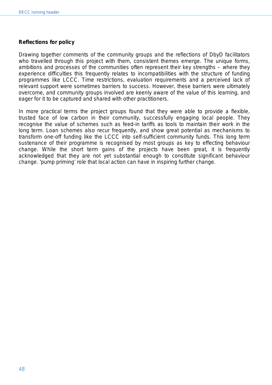# *Reflections for policy*

Drawing together comments of the community groups and the reflections of DbyD facilitators who travelled through this project with them, consistent themes emerge. The unique forms, ambitions and processes of the communities often represent their key strengths – where they experience difficulties this frequently relates to incompatibilities with the structure of funding programmes like LCCC. Time restrictions, evaluation requirements and a perceived lack of relevant support were sometimes barriers to success. However, these barriers were ultimately overcome, and community groups involved are keenly aware of the value of this learning, and eager for it to be captured and shared with other practitioners.

In more practical terms the project groups found that they were able to provide a flexible, trusted face of low carbon in their community, successfully engaging local people. They recognise the value of schemes such as feed-in tariffs as tools to maintain their work in the long term. Loan schemes also recur frequently, and show great potential as mechanisms to transform one-off funding like the LCCC into self-sufficient community funds. This long term sustenance of their programme is recognised by most groups as key to effecting behaviour change. While the short term gains of the projects have been great, it is frequently acknowledged that they are not yet substantial enough to constitute significant behaviour change. 'pump priming' role that local action can have in inspiring further change.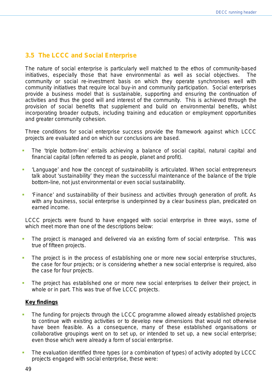# **3.5 The LCCC and Social Enterprise**

The nature of social enterprise is particularly well matched to the ethos of community-based initiatives, especially those that have environmental as well as social objectives. The community or social re-investment basis on which they operate synchronises well with community initiatives that require local buy-in and community participation. Social enterprises provide a business model that is sustainable, supporting and ensuring the continuation of activities and thus the good will and interest of the community. This is achieved through the provision of social benefits that supplement and build on environmental benefits, whilst incorporating broader outputs, including training and education or employment opportunities and greater community cohesion.

Three conditions for social enterprise success provide the framework against which LCCC projects are evaluated and on which our conclusions are based.

- The 'triple bottom-line' entails achieving a balance of social capital, natural capital and financial capital (often referred to as people, planet and profit).
- 'Language' and how the concept of sustainability is articulated. When social entrepreneurs talk about 'sustainability' they mean the successful maintenance of the balance of the triple bottom-line, not just environmental or even social sustainability.
- 'Finance' and sustainability of their business and activities through generation of profit. As with any business, social enterprise is underpinned by a clear business plan, predicated on earned income.

LCCC projects were found to have engaged with social enterprise in three ways, some of which meet more than one of the descriptions below:

- The project is managed and delivered via an existing form of social enterprise. This was true of fifteen projects.
- The project is in the process of establishing one or more new social enterprise structures, the case for four projects; or is considering whether a new social enterprise is required, also the case for four projects.
- The project has established one or more new social enterprises to deliver their project, in whole or in part. This was true of five LCCC projects.

# **Key findings**

- The funding for projects through the LCCC programme allowed already established projects to continue with existing activities or to develop new dimensions that would not otherwise have been feasible. As a consequence, many of these established organisations or collaborative groupings went on to set up, or intended to set up, a new social enterprise; even those which were already a form of social enterprise.
- The evaluation identified three types (or a combination of types) of activity adopted by LCCC projects engaged with social enterprise, these were: